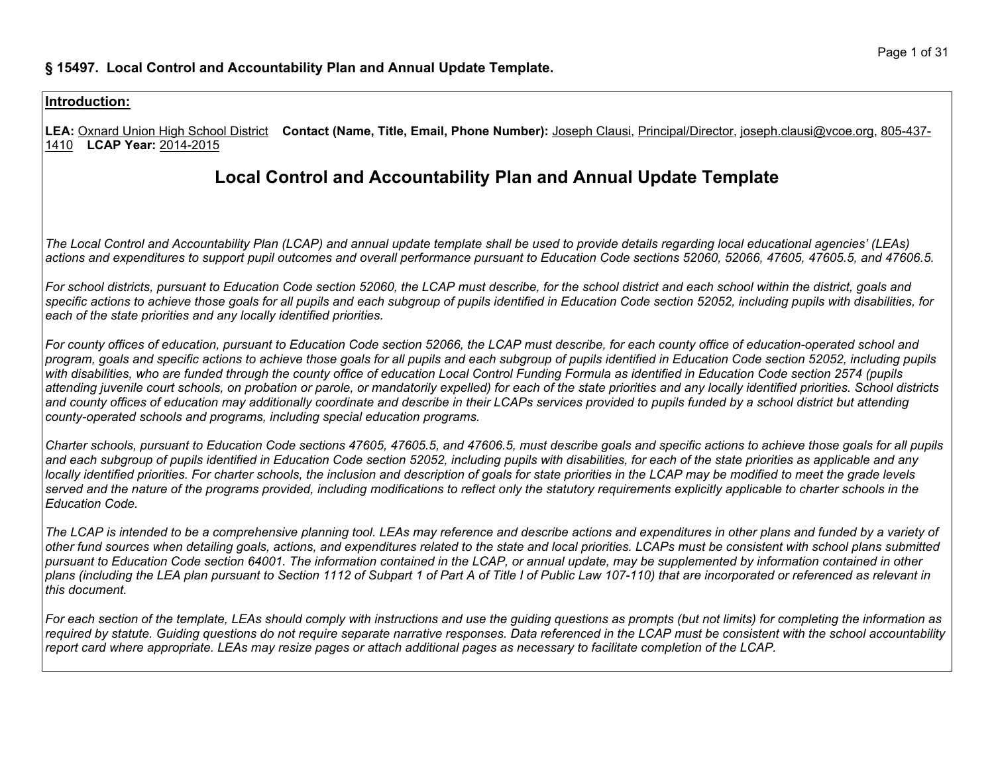**LEA:** Oxnard Union High School District **Contact (Name, Title, Email, Phone Number):** Joseph Clausi, Principal/Director, joseph.clausi@vcoe.org, 805-437- 1410 **LCAP Year:** 2014-2015

# **Local Control and Accountability Plan and Annual Update Template**

The Local Control and Accountability Plan (LCAP) and annual update template shall be used to provide details regarding local educational agencies' (LEAs) actions and expenditures to support pupil outcomes and overall performance pursuant to Education Code sections 52060, 52066, 47605, 47605.5, and 47606.5.

For school districts, pursuant to Education Code section 52060, the LCAP must describe, for the school district and each school within the district, goals and specific actions to achieve those goals for all pupils and each subgroup of pupils identified in Education Code section 52052, including pupils with disabilities, for *each of the state priorities and any locally identified priorities.*

For county offices of education, pursuant to Education Code section 52066, the LCAP must describe, for each county office of education-operated school and program, goals and specific actions to achieve those goals for all pupils and each subgroup of pupils identified in Education Code section 52052, including pupils with disabilities, who are funded through the county office of education Local Control Funding Formula as identified in Education Code section 2574 (pupils attending juvenile court schools, on probation or parole, or mandatorily expelled) for each of the state priorities and any locally identified priorities. School districts and county offices of education may additionally coordinate and describe in their LCAPs services provided to pupils funded by a school district but attending *county-operated schools and programs, including special education programs.*

Charter schools, pursuant to Education Code sections 47605, 47605.5, and 47606.5, must describe goals and specific actions to achieve those goals for all pupils and each subgroup of pupils identified in Education Code section 52052, including pupils with disabilities, for each of the state priorities as applicable and any locally identified priorities. For charter schools, the inclusion and description of goals for state priorities in the LCAP may be modified to meet the grade levels served and the nature of the programs provided, including modifications to reflect only the statutory requirements explicitly applicable to charter schools in the *Education Code.*

The LCAP is intended to be a comprehensive planning tool. LEAs may reference and describe actions and expenditures in other plans and funded by a variety of other fund sources when detailing goals, actions, and expenditures related to the state and local priorities. LCAPs must be consistent with school plans submitted pursuant to Education Code section 64001. The information contained in the LCAP, or annual update, may be supplemented by information contained in other plans (including the LEA plan pursuant to Section 1112 of Subpart 1 of Part A of Title I of Public Law 107-110) that are incorporated or referenced as relevant in *this document.*

For each section of the template, LEAs should comply with instructions and use the guiding questions as prompts (but not limits) for completing the information as required by statute. Guiding questions do not require separate narrative responses. Data referenced in the LCAP must be consistent with the school accountability report card where appropriate. LEAs may resize pages or attach additional pages as necessary to facilitate completion of the LCAP.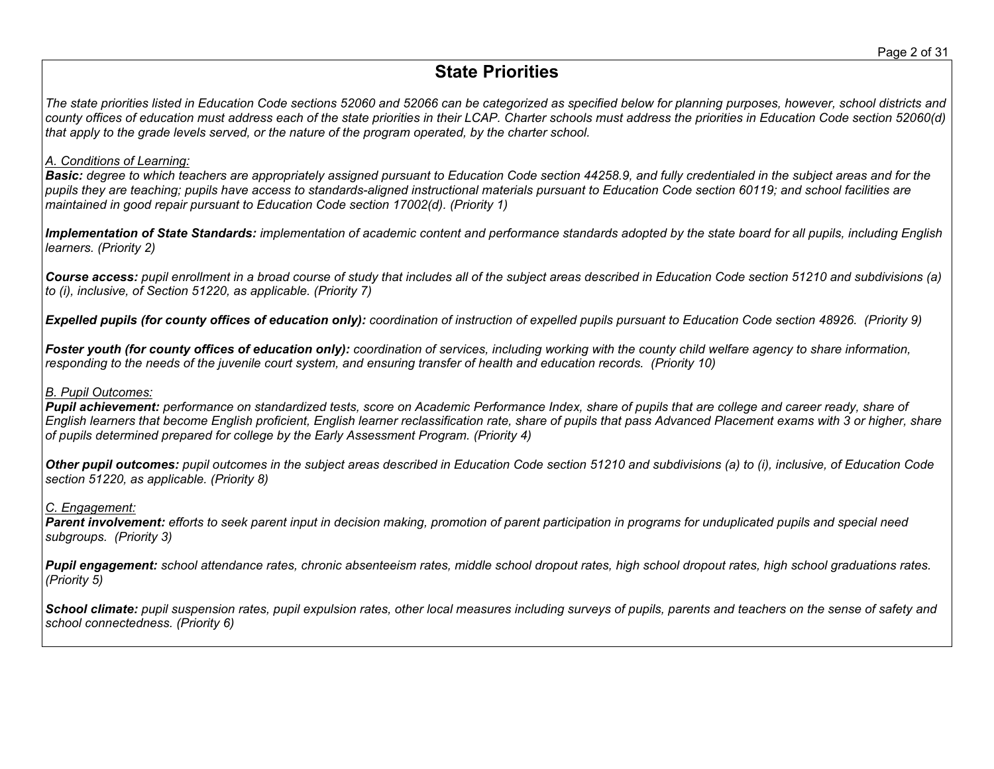# **State Priorities**

The state priorities listed in Education Code sections 52060 and 52066 can be categorized as specified below for planning purposes, however, school districts and county offices of education must address each of the state priorities in their LCAP. Charter schools must address the priorities in Education Code section 52060(d) that apply to the grade levels served, or the nature of the program operated, by the charter school.

# *A. Conditions of Learning:*

Basic: degree to which teachers are appropriately assigned pursuant to Education Code section 44258.9, and fully credentialed in the subject areas and for the pupils they are teaching; pupils have access to standards-aligned instructional materials pursuant to Education Code section 60119; and school facilities are *maintained in good repair pursuant to Education Code section 17002(d). (Priority 1)*

Implementation of State Standards: implementation of academic content and performance standards adopted by the state board for all pupils, including English *learners. (Priority 2)*

Course access: pupil enrollment in a broad course of study that includes all of the subject areas described in Education Code section 51210 and subdivisions (a) *to (i), inclusive, of Section 51220, as applicable. (Priority 7)*

**Expelled pupils (for county offices of education only):** coordination of instruction of expelled pupils pursuant to Education Code section 48926. (Priority 9)

Foster youth (for county offices of education only): coordination of services, including working with the county child welfare agency to share information, responding to the needs of the juvenile court system, and ensuring transfer of health and education records. (Priority 10)

# *B. Pupil Outcomes:*

Pupil achievement: performance on standardized tests, score on Academic Performance Index, share of pupils that are college and career ready, share of English learners that become English proficient, English learner reclassification rate, share of pupils that pass Advanced Placement exams with 3 or higher, share *of pupils determined prepared for college by the Early Assessment Program. (Priority 4)*

Other pupil outcomes: pupil outcomes in the subject areas described in Education Code section 51210 and subdivisions (a) to (i), inclusive, of Education Code *section 51220, as applicable. (Priority 8)*

# *C. Engagement:*

Parent involvement: efforts to seek parent input in decision making, promotion of parent participation in programs for unduplicated pupils and special need *subgroups. (Priority 3)*

Pupil engagement: school attendance rates, chronic absenteeism rates, middle school dropout rates, high school dropout rates, high school graduations rates. *(Priority 5)*

School climate: pupil suspension rates, pupil expulsion rates, other local measures including surveys of pupils, parents and teachers on the sense of safety and *school connectedness. (Priority 6)*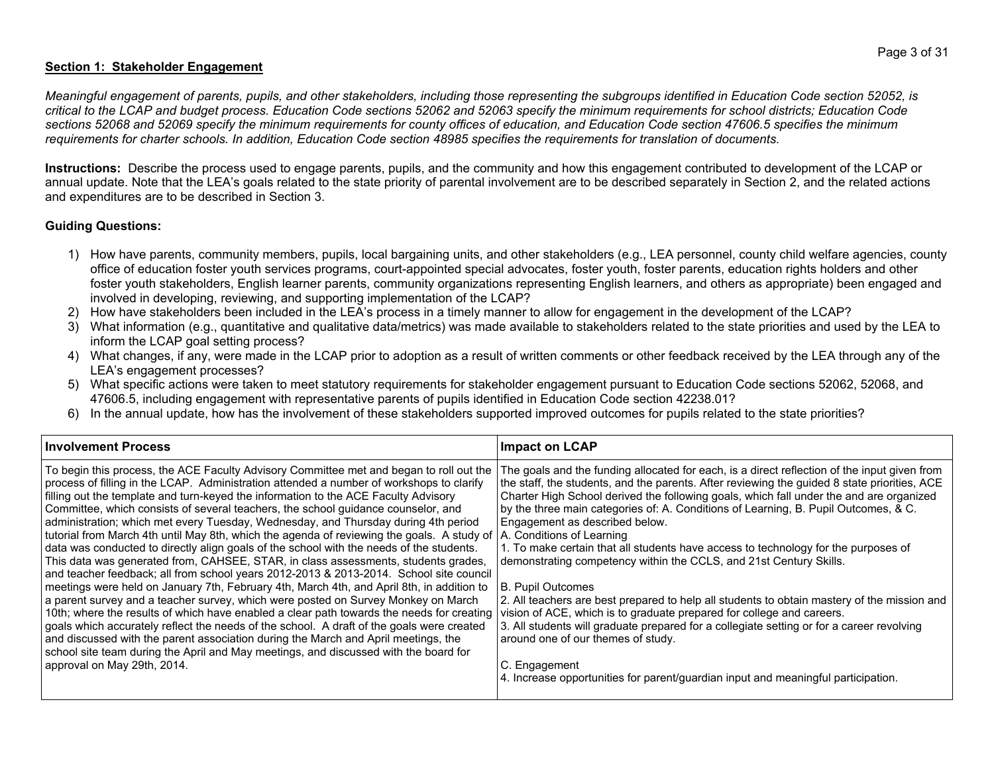# **Section 1: Stakeholder Engagement**

Meaningful engagement of parents, pupils, and other stakeholders, including those representing the subgroups identified in Education Code section 52052, is critical to the LCAP and budget process. Education Code sections 52062 and 52063 specify the minimum requirements for school districts; Education Code sections 52068 and 52069 specify the minimum requirements for county offices of education, and Education Code section 47606.5 specifies the minimum requirements for charter schools. In addition, Education Code section 48985 specifies the requirements for translation of documents.

**Instructions:** Describe the process used to engage parents, pupils, and the community and how this engagement contributed to development of the LCAP or annual update. Note that the LEA's goals related to the state priority of parental involvement are to be described separately in Section 2, and the related actions and expenditures are to be described in Section 3.

#### **Guiding Questions:**

- 1) How have parents, community members, pupils, local bargaining units, and other stakeholders (e.g., LEA personnel, county child welfare agencies, county office of education foster youth services programs, court-appointed special advocates, foster youth, foster parents, education rights holders and other foster youth stakeholders, English learner parents, community organizations representing English learners, and others as appropriate) been engaged and involved in developing, reviewing, and supporting implementation of the LCAP?
- 2) How have stakeholders been included in the LEA's process in a timely manner to allow for engagement in the development of the LCAP?
- 3) What information (e.g., quantitative and qualitative data/metrics) was made available to stakeholders related to the state priorities and used by the LEA to inform the LCAP goal setting process?
- 4) What changes, if any, were made in the LCAP prior to adoption as a result of written comments or other feedback received by the LEA through any of the LEA's engagement processes?
- 5) What specific actions were taken to meet statutory requirements for stakeholder engagement pursuant to Education Code sections 52062, 52068, and 47606.5, including engagement with representative parents of pupils identified in Education Code section 42238.01?
- 6) In the annual update, how has the involvement of these stakeholders supported improved outcomes for pupils related to the state priorities?

| <b>Involvement Process</b>                                                                                                                                                                                                                                                                                                                                                                                                                                                                                                                                                                                                                                                                                                                                                                                                                                                                                                                                                                                                                                                                                                                                                                                                                                                                                                                                                                                               | <b>Impact on LCAP</b>                                                                                                                                                                                                                                                                                                                                                                                                                                                                                                                                                                                                                                                                                                                                                                                                                                                                                                                                                                                                                                  |
|--------------------------------------------------------------------------------------------------------------------------------------------------------------------------------------------------------------------------------------------------------------------------------------------------------------------------------------------------------------------------------------------------------------------------------------------------------------------------------------------------------------------------------------------------------------------------------------------------------------------------------------------------------------------------------------------------------------------------------------------------------------------------------------------------------------------------------------------------------------------------------------------------------------------------------------------------------------------------------------------------------------------------------------------------------------------------------------------------------------------------------------------------------------------------------------------------------------------------------------------------------------------------------------------------------------------------------------------------------------------------------------------------------------------------|--------------------------------------------------------------------------------------------------------------------------------------------------------------------------------------------------------------------------------------------------------------------------------------------------------------------------------------------------------------------------------------------------------------------------------------------------------------------------------------------------------------------------------------------------------------------------------------------------------------------------------------------------------------------------------------------------------------------------------------------------------------------------------------------------------------------------------------------------------------------------------------------------------------------------------------------------------------------------------------------------------------------------------------------------------|
| To begin this process, the ACE Faculty Advisory Committee met and began to roll out the<br>process of filling in the LCAP. Administration attended a number of workshops to clarify<br>filling out the template and turn-keyed the information to the ACE Faculty Advisory<br>Committee, which consists of several teachers, the school guidance counselor, and<br>administration; which met every Tuesday, Wednesday, and Thursday during 4th period<br>tutorial from March 4th until May 8th, which the agenda of reviewing the goals. A study of<br>data was conducted to directly align goals of the school with the needs of the students.<br>This data was generated from, CAHSEE, STAR, in class assessments, students grades,<br>and teacher feedback; all from school years 2012-2013 & 2013-2014. School site council<br>meetings were held on January 7th, February 4th, March 4th, and April 8th, in addition to<br>a parent survey and a teacher survey, which were posted on Survey Monkey on March<br>10th; where the results of which have enabled a clear path towards the needs for creating<br>goals which accurately reflect the needs of the school. A draft of the goals were created<br>and discussed with the parent association during the March and April meetings, the<br>school site team during the April and May meetings, and discussed with the board for<br>approval on May 29th, 2014. | The goals and the funding allocated for each, is a direct reflection of the input given from<br>the staff, the students, and the parents. After reviewing the guided 8 state priorities, ACE<br>Charter High School derived the following goals, which fall under the and are organized<br>by the three main categories of: A. Conditions of Learning, B. Pupil Outcomes, & C.<br>Engagement as described below.<br>A. Conditions of Learning<br>1. To make certain that all students have access to technology for the purposes of<br>demonstrating competency within the CCLS, and 21st Century Skills.<br><b>B. Pupil Outcomes</b><br>2. All teachers are best prepared to help all students to obtain mastery of the mission and<br>vision of ACE, which is to graduate prepared for college and careers.<br>3. All students will graduate prepared for a collegiate setting or for a career revolving<br>around one of our themes of study.<br>C. Engagement<br>4. Increase opportunities for parent/guardian input and meaningful participation. |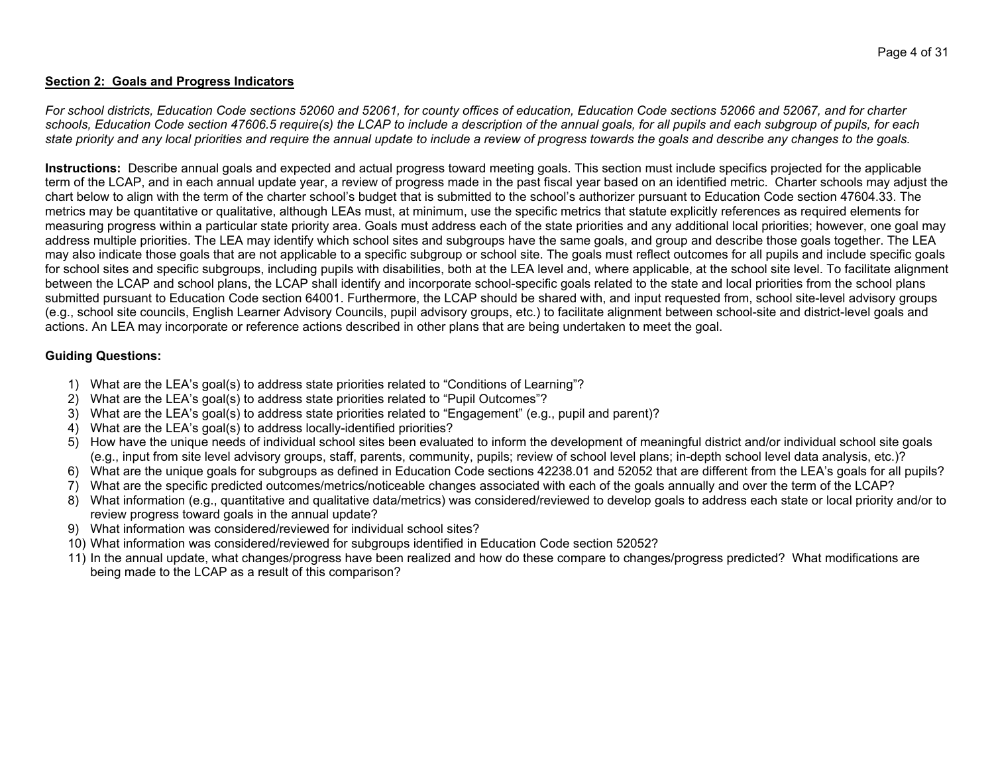### **Section 2: Goals and Progress Indicators**

For school districts, Education Code sections 52060 and 52061, for county offices of education, Education Code sections 52066 and 52067, and for charter schools, Education Code section 47606.5 require(s) the LCAP to include a description of the annual goals, for all pupils and each subgroup of pupils, for each state priority and any local priorities and require the annual update to include a review of progress towards the goals and describe any changes to the goals.

**Instructions:** Describe annual goals and expected and actual progress toward meeting goals. This section must include specifics projected for the applicable term of the LCAP, and in each annual update year, a review of progress made in the past fiscal year based on an identified metric. Charter schools may adjust the chart below to align with the term of the charter school's budget that is submitted to the school's authorizer pursuant to Education Code section 47604.33. The metrics may be quantitative or qualitative, although LEAs must, at minimum, use the specific metrics that statute explicitly references as required elements for measuring progress within a particular state priority area. Goals must address each of the state priorities and any additional local priorities; however, one goal may address multiple priorities. The LEA may identify which school sites and subgroups have the same goals, and group and describe those goals together. The LEA may also indicate those goals that are not applicable to a specific subgroup or school site. The goals must reflect outcomes for all pupils and include specific goals for school sites and specific subgroups, including pupils with disabilities, both at the LEA level and, where applicable, at the school site level. To facilitate alignment between the LCAP and school plans, the LCAP shall identify and incorporate school-specific goals related to the state and local priorities from the school plans submitted pursuant to Education Code section 64001. Furthermore, the LCAP should be shared with, and input requested from, school site-level advisory groups (e.g., school site councils, English Learner Advisory Councils, pupil advisory groups, etc.) to facilitate alignment between school-site and district-level goals and actions. An LEA may incorporate or reference actions described in other plans that are being undertaken to meet the goal.

## **Guiding Questions:**

- 1) What are the LEA's goal(s) to address state priorities related to "Conditions of Learning"?
- 2) What are the LEA's goal(s) to address state priorities related to "Pupil Outcomes"?
- 3) What are the LEA's goal(s) to address state priorities related to "Engagement" (e.g., pupil and parent)?
- 4) What are the LEA's goal(s) to address locally-identified priorities?
- 5) How have the unique needs of individual school sites been evaluated to inform the development of meaningful district and/or individual school site goals (e.g., input from site level advisory groups, staff, parents, community, pupils; review of school level plans; in-depth school level data analysis, etc.)?
- 6) What are the unique goals for subgroups as defined in Education Code sections 42238.01 and 52052 that are different from the LEA's goals for all pupils?
- 7) What are the specific predicted outcomes/metrics/noticeable changes associated with each of the goals annually and over the term of the LCAP?
- 8) What information (e.g., quantitative and qualitative data/metrics) was considered/reviewed to develop goals to address each state or local priority and/or to review progress toward goals in the annual update?
- 9) What information was considered/reviewed for individual school sites?
- 10) What information was considered/reviewed for subgroups identified in Education Code section 52052?
- 11) In the annual update, what changes/progress have been realized and how do these compare to changes/progress predicted? What modifications are being made to the LCAP as a result of this comparison?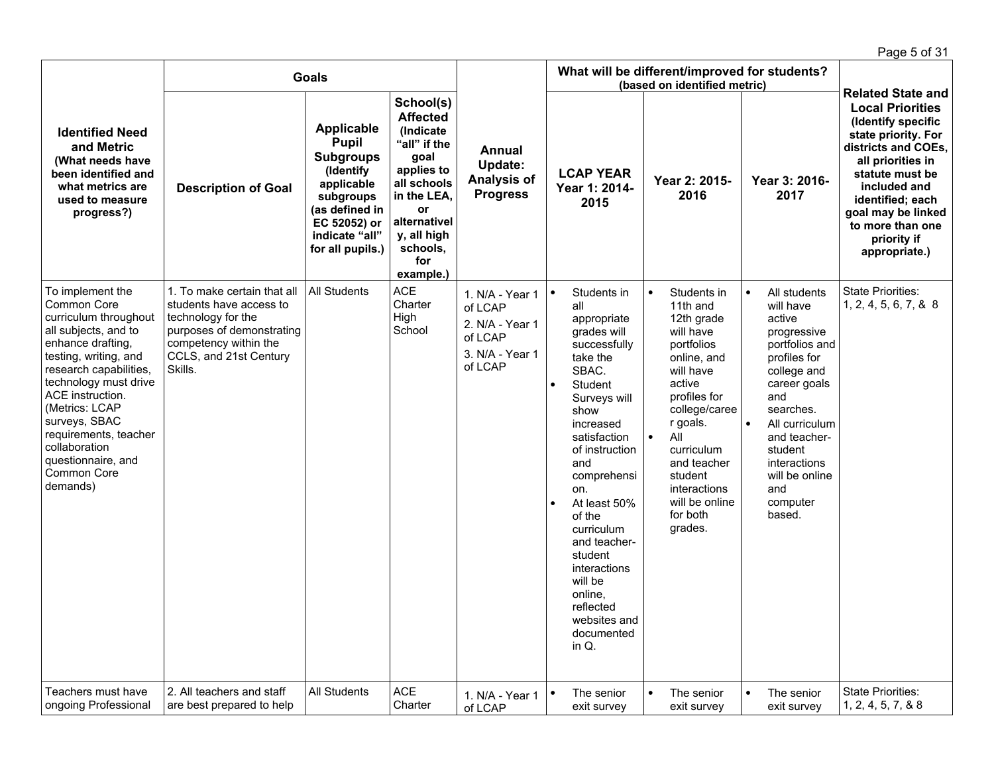|                                                                                                                                                                                                                                                                                                                                     |                                                                                                                                                                         |                                                                                                                                                                       |                                                                                                                                                                                    |                                                                                        |                        |                                                                                                                                                                                                                                                                                                                                                                      |                        |                                                                                                                                                                                                                                                             |                        |                                                                                                                                                                                                                                                     | Page 5 of 31                                                                                                                                                                                                                                                                  |
|-------------------------------------------------------------------------------------------------------------------------------------------------------------------------------------------------------------------------------------------------------------------------------------------------------------------------------------|-------------------------------------------------------------------------------------------------------------------------------------------------------------------------|-----------------------------------------------------------------------------------------------------------------------------------------------------------------------|------------------------------------------------------------------------------------------------------------------------------------------------------------------------------------|----------------------------------------------------------------------------------------|------------------------|----------------------------------------------------------------------------------------------------------------------------------------------------------------------------------------------------------------------------------------------------------------------------------------------------------------------------------------------------------------------|------------------------|-------------------------------------------------------------------------------------------------------------------------------------------------------------------------------------------------------------------------------------------------------------|------------------------|-----------------------------------------------------------------------------------------------------------------------------------------------------------------------------------------------------------------------------------------------------|-------------------------------------------------------------------------------------------------------------------------------------------------------------------------------------------------------------------------------------------------------------------------------|
|                                                                                                                                                                                                                                                                                                                                     |                                                                                                                                                                         | <b>Goals</b>                                                                                                                                                          |                                                                                                                                                                                    |                                                                                        |                        | What will be different/improved for students?                                                                                                                                                                                                                                                                                                                        |                        | (based on identified metric)                                                                                                                                                                                                                                |                        |                                                                                                                                                                                                                                                     |                                                                                                                                                                                                                                                                               |
| <b>Identified Need</b><br>and Metric<br>(What needs have<br>been identified and<br>what metrics are<br>used to measure<br>progress?)                                                                                                                                                                                                | <b>Description of Goal</b>                                                                                                                                              | <b>Applicable</b><br><b>Pupil</b><br><b>Subgroups</b><br>(Identify<br>applicable<br>subgroups<br>(as defined in<br>EC 52052) or<br>indicate "all"<br>for all pupils.) | School(s)<br><b>Affected</b><br>(Indicate<br>"all" if the<br>goal<br>applies to<br>all schools<br>in the LEA,<br>or<br>alternativel<br>y, all high<br>schools,<br>for<br>example.) | Annual<br><b>Update:</b><br>Analysis of<br><b>Progress</b>                             |                        | <b>LCAP YEAR</b><br>Year 1: 2014-<br>2015                                                                                                                                                                                                                                                                                                                            |                        | Year 2: 2015-<br>2016                                                                                                                                                                                                                                       |                        | Year 3: 2016-<br>2017                                                                                                                                                                                                                               | <b>Related State and</b><br><b>Local Priorities</b><br>(Identify specific<br>state priority. For<br>districts and COEs,<br>all priorities in<br>statute must be<br>included and<br>identified; each<br>goal may be linked<br>to more than one<br>priority if<br>appropriate.) |
| To implement the<br>Common Core<br>curriculum throughout<br>all subjects, and to<br>enhance drafting,<br>testing, writing, and<br>research capabilities,<br>technology must drive<br>ACE instruction.<br>(Metrics: LCAP<br>surveys, SBAC<br>requirements, teacher<br>collaboration<br>questionnaire, and<br>Common Core<br>demands) | 1. To make certain that all<br>students have access to<br>technology for the<br>purposes of demonstrating<br>competency within the<br>CCLS, and 21st Century<br>Skills. | <b>All Students</b>                                                                                                                                                   | <b>ACE</b><br>Charter<br>High<br>School                                                                                                                                            | 1. N/A - Year 1<br>of LCAP<br>2. N/A - Year 1<br>of LCAP<br>3. N/A - Year 1<br>of LCAP | $\bullet$<br>$\bullet$ | Students in<br>all<br>appropriate<br>grades will<br>successfully<br>take the<br>SBAC.<br>Student<br>Surveys will<br>show<br>increased<br>satisfaction<br>of instruction<br>and<br>comprehensi<br>on.<br>At least 50%<br>of the<br>curriculum<br>and teacher-<br>student<br>interactions<br>will be<br>online.<br>reflected<br>websites and<br>documented<br>in $Q$ . | $\bullet$<br>$\bullet$ | Students in<br>11th and<br>12th grade<br>will have<br>portfolios<br>online, and<br>will have<br>active<br>profiles for<br>college/caree<br>r goals.<br>All<br>curriculum<br>and teacher<br>student<br>interactions<br>will be online<br>for both<br>grades. | $\bullet$<br>$\bullet$ | All students<br>will have<br>active<br>progressive<br>portfolios and<br>profiles for<br>college and<br>career goals<br>and<br>searches.<br>All curriculum<br>and teacher-<br>student<br>interactions<br>will be online<br>and<br>computer<br>based. | <b>State Priorities:</b><br>1, 2, 4, 5, 6, 7, & 8                                                                                                                                                                                                                             |
| Teachers must have<br>ongoing Professional                                                                                                                                                                                                                                                                                          | 2. All teachers and staff<br>are best prepared to help                                                                                                                  | All Students                                                                                                                                                          | <b>ACE</b><br>Charter                                                                                                                                                              | 1. N/A - Year 1<br>of LCAP                                                             |                        | The senior<br>exit survey                                                                                                                                                                                                                                                                                                                                            |                        | The senior<br>exit survey                                                                                                                                                                                                                                   |                        | The senior<br>exit survey                                                                                                                                                                                                                           | State Priorities:<br>1, 2, 4, 5, 7, & 8                                                                                                                                                                                                                                       |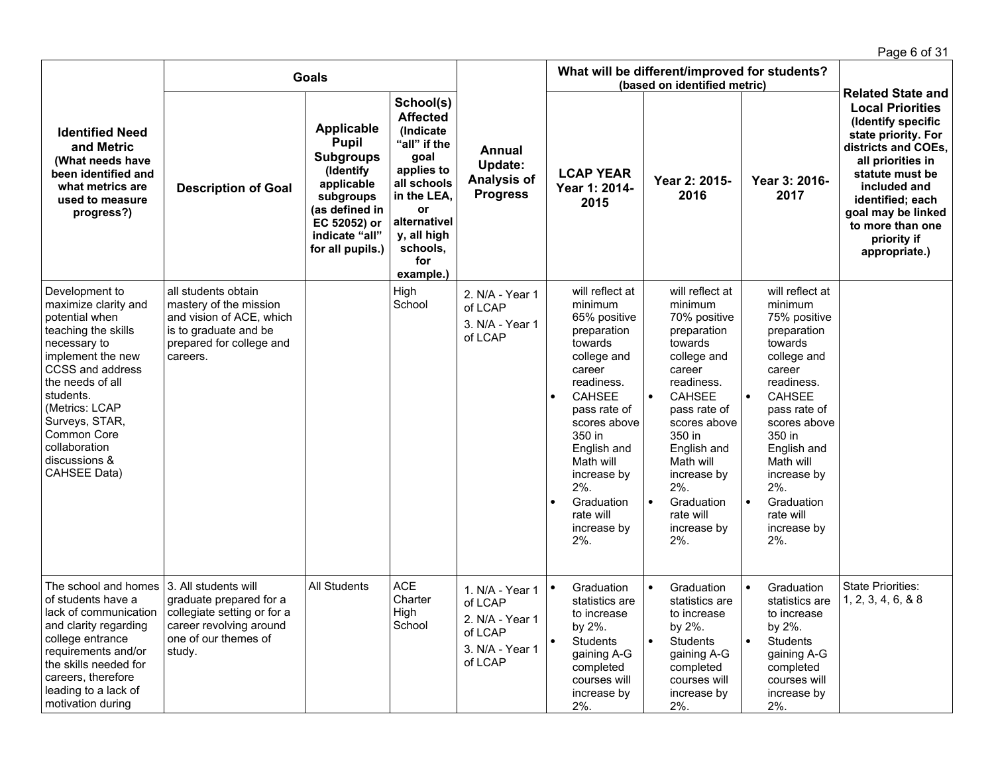|                                                                                                                                                                                                                                                              |                                                                                                                                             |                                                                                                                                                                       |                                                                                                                                                                                    |                                                                                        |                                                                                                                                                                                                                                                                                                        |                                                                                                                                                                                                                                                                                                             |                                                                                                                                                                                                                                                                                                             | Page 6 of 31                                                                                                                                                                                                                                                                  |
|--------------------------------------------------------------------------------------------------------------------------------------------------------------------------------------------------------------------------------------------------------------|---------------------------------------------------------------------------------------------------------------------------------------------|-----------------------------------------------------------------------------------------------------------------------------------------------------------------------|------------------------------------------------------------------------------------------------------------------------------------------------------------------------------------|----------------------------------------------------------------------------------------|--------------------------------------------------------------------------------------------------------------------------------------------------------------------------------------------------------------------------------------------------------------------------------------------------------|-------------------------------------------------------------------------------------------------------------------------------------------------------------------------------------------------------------------------------------------------------------------------------------------------------------|-------------------------------------------------------------------------------------------------------------------------------------------------------------------------------------------------------------------------------------------------------------------------------------------------------------|-------------------------------------------------------------------------------------------------------------------------------------------------------------------------------------------------------------------------------------------------------------------------------|
|                                                                                                                                                                                                                                                              |                                                                                                                                             | <b>Goals</b>                                                                                                                                                          |                                                                                                                                                                                    |                                                                                        |                                                                                                                                                                                                                                                                                                        | What will be different/improved for students?<br>(based on identified metric)                                                                                                                                                                                                                               |                                                                                                                                                                                                                                                                                                             |                                                                                                                                                                                                                                                                               |
| <b>Identified Need</b><br>and Metric<br>(What needs have<br>been identified and<br>what metrics are<br>used to measure<br>progress?)<br>Development to                                                                                                       | <b>Description of Goal</b>                                                                                                                  | <b>Applicable</b><br><b>Pupil</b><br><b>Subgroups</b><br>(Identify<br>applicable<br>subgroups<br>(as defined in<br>EC 52052) or<br>indicate "all"<br>for all pupils.) | School(s)<br><b>Affected</b><br>(Indicate<br>"all" if the<br>goal<br>applies to<br>all schools<br>in the LEA,<br>or<br>alternativel<br>y, all high<br>schools,<br>for<br>example.) | Annual<br>Update:<br><b>Analysis of</b><br><b>Progress</b>                             | <b>LCAP YEAR</b><br>Year 1: 2014-<br>2015                                                                                                                                                                                                                                                              | Year 2: 2015-<br>2016                                                                                                                                                                                                                                                                                       | Year 3: 2016-<br>2017                                                                                                                                                                                                                                                                                       | <b>Related State and</b><br><b>Local Priorities</b><br>(Identify specific<br>state priority. For<br>districts and COEs,<br>all priorities in<br>statute must be<br>included and<br>identified; each<br>goal may be linked<br>to more than one<br>priority if<br>appropriate.) |
| maximize clarity and<br>potential when<br>teaching the skills<br>necessary to<br>implement the new<br>CCSS and address<br>the needs of all<br>students.<br>(Metrics: LCAP<br>Surveys, STAR,<br>Common Core<br>collaboration<br>discussions &<br>CAHSEE Data) | all students obtain<br>mastery of the mission<br>and vision of ACE, which<br>is to graduate and be<br>prepared for college and<br>careers.  |                                                                                                                                                                       | High<br>School                                                                                                                                                                     | 2. N/A - Year 1<br>of LCAP<br>3. N/A - Year 1<br>of LCAP                               | will reflect at<br>minimum<br>65% positive<br>preparation<br>towards<br>college and<br>career<br>readiness.<br><b>CAHSEE</b><br>$\bullet$<br>pass rate of<br>scores above<br>350 in<br>English and<br>Math will<br>increase by<br>2%.<br>Graduation<br>$\bullet$<br>rate will<br>increase by<br>$2%$ . | will reflect at<br>minimum<br>70% positive<br>preparation<br>towards<br>college and<br>career<br>readiness.<br><b>CAHSEE</b><br>$\bullet$<br>pass rate of<br>scores above<br>350 in<br>English and<br>Math will<br>increase by<br>$2\%$ .<br>$\bullet$<br>Graduation<br>rate will<br>increase by<br>$2\%$ . | will reflect at<br>minimum<br>75% positive<br>preparation<br>towards<br>college and<br>career<br>readiness.<br><b>CAHSEE</b><br>$\bullet$<br>pass rate of<br>scores above<br>350 in<br>English and<br>Math will<br>increase by<br>$2\%$ .<br>$\bullet$<br>Graduation<br>rate will<br>increase by<br>$2\%$ . |                                                                                                                                                                                                                                                                               |
| The school and homes<br>of students have a<br>lack of communication<br>and clarity regarding<br>college entrance<br>requirements and/or<br>the skills needed for<br>careers, therefore<br>leading to a lack of<br>motivation during                          | 3. All students will<br>graduate prepared for a<br>collegiate setting or for a<br>career revolving around<br>one of our themes of<br>study. | All Students                                                                                                                                                          | <b>ACE</b><br>Charter<br>High<br>School                                                                                                                                            | 1. N/A - Year 1<br>of LCAP<br>2. N/A - Year 1<br>of LCAP<br>3. N/A - Year 1<br>of LCAP | Graduation<br>statistics are<br>to increase<br>by 2%.<br>Students<br>$\bullet$<br>gaining A-G<br>completed<br>courses will<br>increase by<br>$2%$ .                                                                                                                                                    | Graduation<br>statistics are<br>to increase<br>by 2%.<br>Students<br>$\bullet$<br>gaining A-G<br>completed<br>courses will<br>increase by<br>$2%$ .                                                                                                                                                         | Graduation<br>$\bullet$<br>statistics are<br>to increase<br>by 2%.<br>Students<br>$\bullet$<br>gaining A-G<br>completed<br>courses will<br>increase by<br>$2%$ .                                                                                                                                            | <b>State Priorities:</b><br>1, 2, 3, 4, 6, 8, 8                                                                                                                                                                                                                               |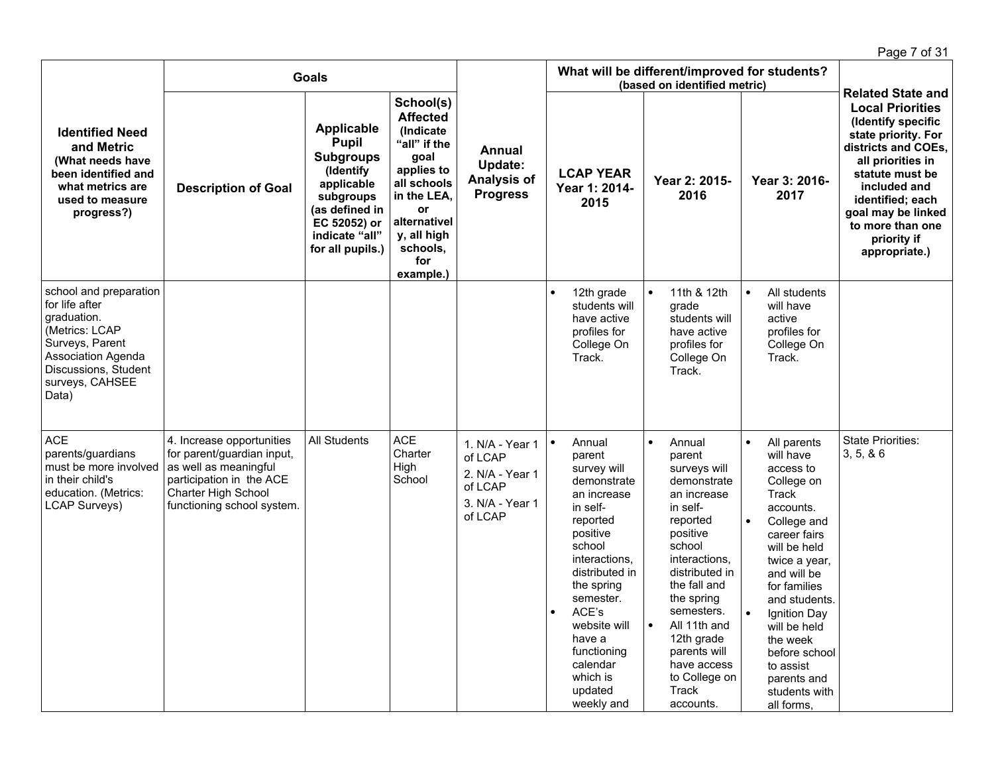|                                                                                                                                                                               |                                                                                                                                                                   |                                                                                                                                                                       |                                                                                                                                                                                    |                                                                                        |                                                                                                                                                                                                                                                                                                        |                                                                                                                                                                                                                                                                                                                           |                                                                                                                                                                                                                                                                                                                                             | Page 7 of 31                                                                                                                                                                                                                                      |
|-------------------------------------------------------------------------------------------------------------------------------------------------------------------------------|-------------------------------------------------------------------------------------------------------------------------------------------------------------------|-----------------------------------------------------------------------------------------------------------------------------------------------------------------------|------------------------------------------------------------------------------------------------------------------------------------------------------------------------------------|----------------------------------------------------------------------------------------|--------------------------------------------------------------------------------------------------------------------------------------------------------------------------------------------------------------------------------------------------------------------------------------------------------|---------------------------------------------------------------------------------------------------------------------------------------------------------------------------------------------------------------------------------------------------------------------------------------------------------------------------|---------------------------------------------------------------------------------------------------------------------------------------------------------------------------------------------------------------------------------------------------------------------------------------------------------------------------------------------|---------------------------------------------------------------------------------------------------------------------------------------------------------------------------------------------------------------------------------------------------|
|                                                                                                                                                                               |                                                                                                                                                                   | <b>Goals</b>                                                                                                                                                          |                                                                                                                                                                                    |                                                                                        |                                                                                                                                                                                                                                                                                                        | What will be different/improved for students?<br>(based on identified metric)                                                                                                                                                                                                                                             |                                                                                                                                                                                                                                                                                                                                             | <b>Related State and</b>                                                                                                                                                                                                                          |
| <b>Identified Need</b><br>and Metric<br>(What needs have<br>been identified and<br>what metrics are<br>used to measure<br>progress?)                                          | <b>Description of Goal</b>                                                                                                                                        | <b>Applicable</b><br><b>Pupil</b><br><b>Subgroups</b><br>(Identify<br>applicable<br>subgroups<br>(as defined in<br>EC 52052) or<br>indicate "all"<br>for all pupils.) | School(s)<br><b>Affected</b><br>(Indicate<br>"all" if the<br>goal<br>applies to<br>all schools<br>in the LEA,<br>or<br>alternativel<br>y, all high<br>schools,<br>for<br>example.) | Annual<br><b>Update:</b><br>Analysis of<br><b>Progress</b>                             | <b>LCAP YEAR</b><br>Year 1: 2014-<br>2015                                                                                                                                                                                                                                                              | Year 2: 2015-<br>2016                                                                                                                                                                                                                                                                                                     | Year 3: 2016-<br>2017                                                                                                                                                                                                                                                                                                                       | <b>Local Priorities</b><br>(Identify specific<br>state priority. For<br>districts and COEs,<br>all priorities in<br>statute must be<br>included and<br>identified; each<br>goal may be linked<br>to more than one<br>priority if<br>appropriate.) |
| school and preparation<br>for life after<br>graduation.<br>(Metrics: LCAP<br>Surveys, Parent<br><b>Association Agenda</b><br>Discussions, Student<br>surveys, CAHSEE<br>Data) |                                                                                                                                                                   |                                                                                                                                                                       |                                                                                                                                                                                    |                                                                                        | 12th grade<br>$\bullet$<br>students will<br>have active<br>profiles for<br>College On<br>Track.                                                                                                                                                                                                        | 11th & 12th<br>$\bullet$<br>grade<br>students will<br>have active<br>profiles for<br>College On<br>Track.                                                                                                                                                                                                                 | $\bullet$<br>All students<br>will have<br>active<br>profiles for<br>College On<br>Track.                                                                                                                                                                                                                                                    |                                                                                                                                                                                                                                                   |
| <b>ACE</b><br>parents/guardians<br>must be more involved<br>in their child's<br>education. (Metrics:<br><b>LCAP Surveys)</b>                                                  | 4. Increase opportunities<br>for parent/guardian input,<br>as well as meaningful<br>participation in the ACE<br>Charter High School<br>functioning school system. | All Students                                                                                                                                                          | <b>ACE</b><br>Charter<br>High<br>School                                                                                                                                            | 1. N/A - Year 1<br>of LCAP<br>2. N/A - Year 1<br>of LCAP<br>3. N/A - Year 1<br>of LCAP | $\bullet$<br>Annual<br>parent<br>survey will<br>demonstrate<br>an increase<br>in self-<br>reported<br>positive<br>school<br>interactions,<br>distributed in<br>the spring<br>semester.<br>ACE's<br>$\bullet$<br>website will<br>have a<br>functioning<br>calendar<br>which is<br>updated<br>weekly and | $\bullet$<br>Annual<br>parent<br>surveys will<br>demonstrate<br>an increase<br>in self-<br>reported<br>positive<br>school<br>interactions.<br>distributed in<br>the fall and<br>the spring<br>semesters.<br>All 11th and<br>$\bullet$<br>12th grade<br>parents will<br>have access<br>to College on<br>Track<br>accounts. | All parents<br>$\bullet$<br>will have<br>access to<br>College on<br>Track<br>accounts.<br>College and<br>$\bullet$<br>career fairs<br>will be held<br>twice a year,<br>and will be<br>for families<br>and students.<br>Ignition Day<br>will be held<br>the week<br>before school<br>to assist<br>parents and<br>students with<br>all forms, | <b>State Priorities:</b><br>3, 5, 86                                                                                                                                                                                                              |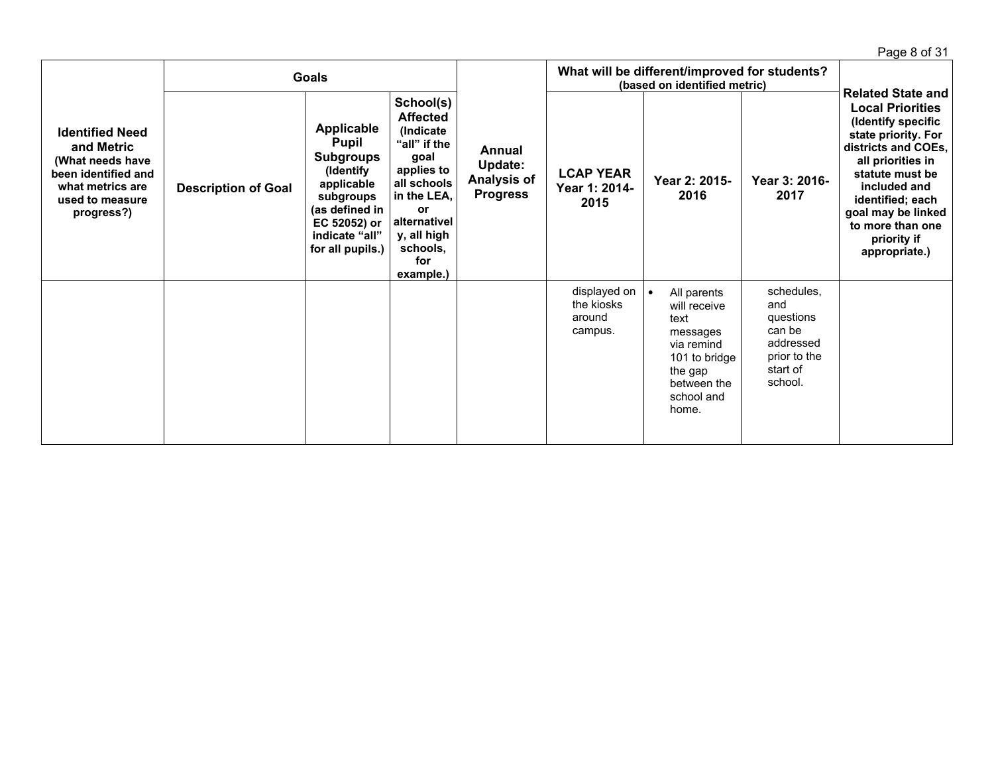Page 8 of 31 **Identified Need and Metric (What needs have been identified and what metrics are used to measure progress?) Goals Annual Update: Analysis of Progress What will be different/improved for students? (based on identified metric) Related State and Local Priorities (Identify specific state priority. For districts and COEs, all priorities in statute must be included and identified; each goal may be linked to more than one priority if appropriate.) Description of Goal Applicable Pupil Subgroups (Identify applicable subgroups (as defined in EC 52052) or indicate "all" for all pupils.) School(s) Affected (Indicate "all" if the goal applies to all schools in the LEA, or alternativel y, all high schools, for example.) LCAP YEAR Year 1: 2014- 2015 Year 2: 2015- 2016 Year 3: 2016- 2017** displayed on  $\vert \bullet \vert$ the kiosks around campus. All parents will receive text messages via remind 101 to bridge the gap between the school and home. schedules, and questions can be addressed prior to the start of school.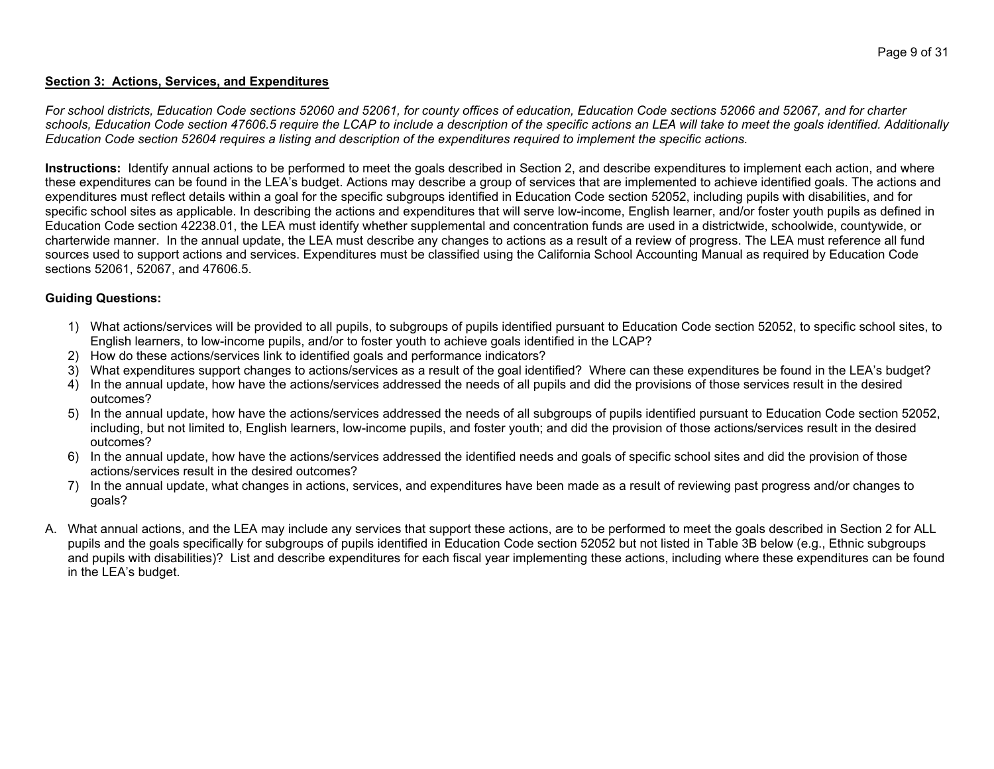#### **Section 3: Actions, Services, and Expenditures**

For school districts, Education Code sections 52060 and 52061, for county offices of education, Education Code sections 52066 and 52067, and for charter schools, Education Code section 47606.5 require the LCAP to include a description of the specific actions an LEA will take to meet the goals identified. Additionally Education Code section 52604 requires a listing and description of the expenditures required to implement the specific actions.

Instructions: Identify annual actions to be performed to meet the goals described in Section 2, and describe expenditures to implement each action, and where these expenditures can be found in the LEA's budget. Actions may describe a group of services that are implemented to achieve identified goals. The actions and expenditures must reflect details within a goal for the specific subgroups identified in Education Code section 52052, including pupils with disabilities, and for specific school sites as applicable. In describing the actions and expenditures that will serve low-income, English learner, and/or foster youth pupils as defined in Education Code section 42238.01, the LEA must identify whether supplemental and concentration funds are used in a districtwide, schoolwide, countywide, or charterwide manner. In the annual update, the LEA must describe any changes to actions as a result of a review of progress. The LEA must reference all fund sources used to support actions and services. Expenditures must be classified using the California School Accounting Manual as required by Education Code sections 52061, 52067, and 47606.5.

#### **Guiding Questions:**

- 1) What actions/services will be provided to all pupils, to subgroups of pupils identified pursuant to Education Code section 52052, to specific school sites, to English learners, to low-income pupils, and/or to foster youth to achieve goals identified in the LCAP?
- 2) How do these actions/services link to identified goals and performance indicators?
- 3) What expenditures support changes to actions/services as a result of the goal identified? Where can these expenditures be found in the LEA's budget?
- 4) In the annual update, how have the actions/services addressed the needs of all pupils and did the provisions of those services result in the desired outcomes?
- 5) In the annual update, how have the actions/services addressed the needs of all subgroups of pupils identified pursuant to Education Code section 52052, including, but not limited to, English learners, low-income pupils, and foster youth; and did the provision of those actions/services result in the desired outcomes?
- 6) In the annual update, how have the actions/services addressed the identified needs and goals of specific school sites and did the provision of those actions/services result in the desired outcomes?
- 7) In the annual update, what changes in actions, services, and expenditures have been made as a result of reviewing past progress and/or changes to goals?
- A. What annual actions, and the LEA may include any services that support these actions, are to be performed to meet the goals described in Section 2 for ALL pupils and the goals specifically for subgroups of pupils identified in Education Code section 52052 but not listed in Table 3B below (e.g., Ethnic subgroups and pupils with disabilities)? List and describe expenditures for each fiscal year implementing these actions, including where these expenditures can be found in the LEA's budget.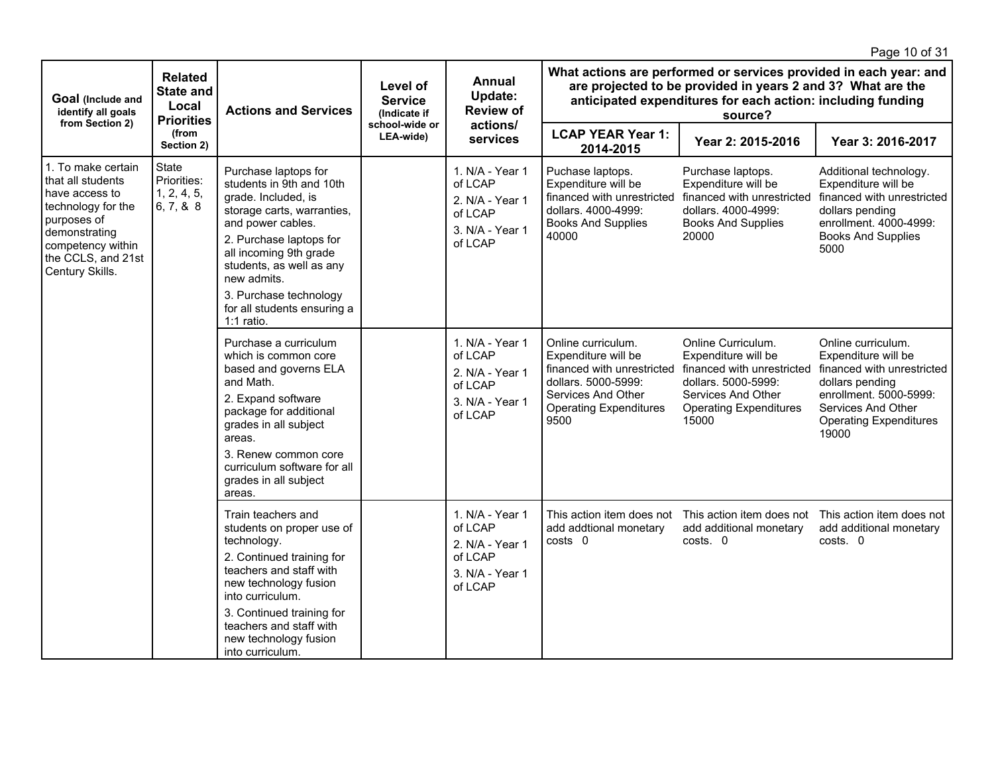|                                                                                                                                                                               |                                                                  |                                                                                                                                                                                                                                                                                                     |                                                              |                                                                                        |                                                                                                                                                               |                                                                                                                                                                                                            | Page 10 of 31                                                                                                                                                                        |
|-------------------------------------------------------------------------------------------------------------------------------------------------------------------------------|------------------------------------------------------------------|-----------------------------------------------------------------------------------------------------------------------------------------------------------------------------------------------------------------------------------------------------------------------------------------------------|--------------------------------------------------------------|----------------------------------------------------------------------------------------|---------------------------------------------------------------------------------------------------------------------------------------------------------------|------------------------------------------------------------------------------------------------------------------------------------------------------------------------------------------------------------|--------------------------------------------------------------------------------------------------------------------------------------------------------------------------------------|
| Goal (Include and<br>identify all goals<br>from Section 2)                                                                                                                    | <b>Related</b><br><b>State and</b><br>Local<br><b>Priorities</b> | <b>Actions and Services</b>                                                                                                                                                                                                                                                                         | Level of<br><b>Service</b><br>(Indicate if<br>school-wide or | <b>Annual</b><br>Update:<br><b>Review of</b>                                           |                                                                                                                                                               | What actions are performed or services provided in each year: and<br>are projected to be provided in years 2 and 3? What are the<br>anticipated expenditures for each action: including funding<br>source? |                                                                                                                                                                                      |
|                                                                                                                                                                               | (from<br>Section 2)                                              |                                                                                                                                                                                                                                                                                                     | LEA-wide)                                                    | actions/<br>services                                                                   | <b>LCAP YEAR Year 1:</b><br>2014-2015                                                                                                                         | Year 2: 2015-2016                                                                                                                                                                                          | Year 3: 2016-2017                                                                                                                                                                    |
| 1. To make certain<br>that all students<br>have access to<br>technology for the<br>purposes of<br>demonstrating<br>competency within<br>the CCLS, and 21st<br>Century Skills. | <b>State</b><br>Priorities:<br>1, 2, 4, 5,<br>6, 7, 8, 8         | Purchase laptops for<br>students in 9th and 10th<br>grade. Included, is<br>storage carts, warranties,<br>and power cables.<br>2. Purchase laptops for<br>all incoming 9th grade<br>students, as well as any<br>new admits.<br>3. Purchase technology<br>for all students ensuring a<br>$1:1$ ratio. |                                                              | 1. N/A - Year 1<br>of LCAP<br>2. N/A - Year 1<br>of LCAP<br>3. N/A - Year 1<br>of LCAP | Puchase laptops.<br>Expenditure will be<br>financed with unrestricted<br>dollars. 4000-4999:<br><b>Books And Supplies</b><br>40000                            | Purchase laptops.<br>Expenditure will be<br>financed with unrestricted<br>dollars. 4000-4999:<br><b>Books And Supplies</b><br>20000                                                                        | Additional technology.<br>Expenditure will be<br>financed with unrestricted<br>dollars pending<br>enrollment. 4000-4999:<br><b>Books And Supplies</b><br>5000                        |
|                                                                                                                                                                               |                                                                  | Purchase a curriculum<br>which is common core<br>based and governs ELA<br>and Math.<br>2. Expand software<br>package for additional<br>grades in all subject<br>areas.<br>3. Renew common core<br>curriculum software for all<br>grades in all subject<br>areas.                                    |                                                              | 1. N/A - Year 1<br>of LCAP<br>2. N/A - Year 1<br>of LCAP<br>3. N/A - Year 1<br>of LCAP | Online curriculum.<br>Expenditure will be<br>financed with unrestricted<br>dollars. 5000-5999:<br>Services And Other<br><b>Operating Expenditures</b><br>9500 | Online Curriculum.<br>Expenditure will be<br>financed with unrestricted<br>dollars. 5000-5999:<br>Services And Other<br><b>Operating Expenditures</b><br>15000                                             | Online curriculum.<br>Expenditure will be<br>financed with unrestricted<br>dollars pending<br>enrollment. 5000-5999:<br>Services And Other<br><b>Operating Expenditures</b><br>19000 |
|                                                                                                                                                                               |                                                                  | Train teachers and<br>students on proper use of<br>technology.<br>2. Continued training for<br>teachers and staff with<br>new technology fusion<br>into curriculum.<br>3. Continued training for<br>teachers and staff with<br>new technology fusion<br>into curriculum.                            |                                                              | 1. N/A - Year 1<br>of LCAP<br>2. N/A - Year 1<br>of LCAP<br>3. N/A - Year 1<br>of LCAP | This action item does not<br>add addtional monetary<br>costs 0                                                                                                | This action item does not<br>add additional monetary<br>costs. 0                                                                                                                                           | This action item does not<br>add additional monetary<br>costs. 0                                                                                                                     |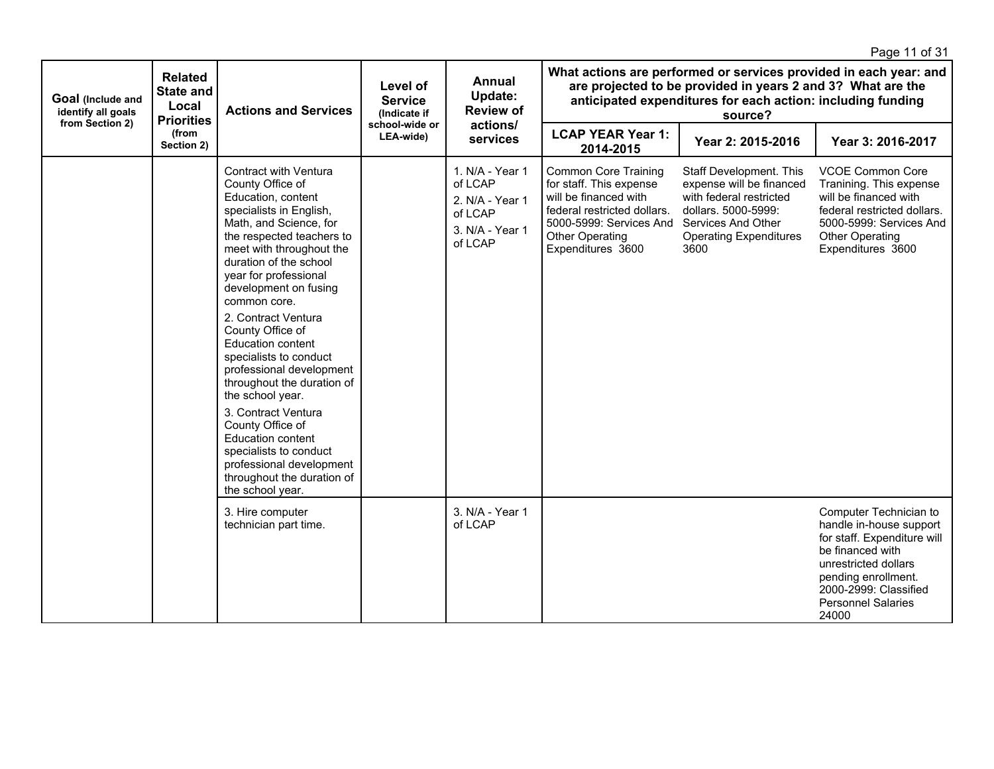|                                                            |                                                                  |                                                                                                                                                                                                                                                                                                                                                                                                                                                                                                                                                                                                                                         |                                            |                                                                                        |                                                                                                                                                                                          |                                                                                                                                                                      | Page 11 of 31                                                                                                                                                                                                      |  |  |                                                                                                                                                                                                            |  |  |
|------------------------------------------------------------|------------------------------------------------------------------|-----------------------------------------------------------------------------------------------------------------------------------------------------------------------------------------------------------------------------------------------------------------------------------------------------------------------------------------------------------------------------------------------------------------------------------------------------------------------------------------------------------------------------------------------------------------------------------------------------------------------------------------|--------------------------------------------|----------------------------------------------------------------------------------------|------------------------------------------------------------------------------------------------------------------------------------------------------------------------------------------|----------------------------------------------------------------------------------------------------------------------------------------------------------------------|--------------------------------------------------------------------------------------------------------------------------------------------------------------------------------------------------------------------|--|--|------------------------------------------------------------------------------------------------------------------------------------------------------------------------------------------------------------|--|--|
| Goal (Include and<br>identify all goals<br>from Section 2) | <b>Related</b><br><b>State and</b><br>Local<br><b>Priorities</b> | <b>Actions and Services</b>                                                                                                                                                                                                                                                                                                                                                                                                                                                                                                                                                                                                             | Level of<br><b>Service</b><br>(Indicate if |                                                                                        |                                                                                                                                                                                          |                                                                                                                                                                      | Annual<br>Update:<br><b>Review of</b><br>school-wide or                                                                                                                                                            |  |  | What actions are performed or services provided in each year: and<br>are projected to be provided in years 2 and 3? What are the<br>anticipated expenditures for each action: including funding<br>source? |  |  |
|                                                            | (from<br>Section 2)                                              |                                                                                                                                                                                                                                                                                                                                                                                                                                                                                                                                                                                                                                         | LEA-wide)                                  | actions/<br>services                                                                   | <b>LCAP YEAR Year 1:</b><br>2014-2015                                                                                                                                                    | Year 2: 2015-2016                                                                                                                                                    | Year 3: 2016-2017                                                                                                                                                                                                  |  |  |                                                                                                                                                                                                            |  |  |
|                                                            |                                                                  | <b>Contract with Ventura</b><br>County Office of<br>Education, content<br>specialists in English,<br>Math, and Science, for<br>the respected teachers to<br>meet with throughout the<br>duration of the school<br>year for professional<br>development on fusing<br>common core.<br>2. Contract Ventura<br>County Office of<br>Education content<br>specialists to conduct<br>professional development<br>throughout the duration of<br>the school year.<br>3. Contract Ventura<br>County Office of<br><b>Education content</b><br>specialists to conduct<br>professional development<br>throughout the duration of<br>the school year. |                                            | 1. N/A - Year 1<br>of LCAP<br>2. N/A - Year 1<br>of LCAP<br>3. N/A - Year 1<br>of LCAP | <b>Common Core Training</b><br>for staff. This expense<br>will be financed with<br>federal restricted dollars.<br>5000-5999: Services And<br><b>Other Operating</b><br>Expenditures 3600 | Staff Development. This<br>expense will be financed<br>with federal restricted<br>dollars, 5000-5999:<br>Services And Other<br><b>Operating Expenditures</b><br>3600 | <b>VCOE Common Core</b><br>Tranining. This expense<br>will be financed with<br>federal restricted dollars.<br>5000-5999: Services And<br><b>Other Operating</b><br>Expenditures 3600                               |  |  |                                                                                                                                                                                                            |  |  |
|                                                            |                                                                  | 3. Hire computer<br>technician part time.                                                                                                                                                                                                                                                                                                                                                                                                                                                                                                                                                                                               |                                            | 3. N/A - Year 1<br>of LCAP                                                             |                                                                                                                                                                                          |                                                                                                                                                                      | Computer Technician to<br>handle in-house support<br>for staff. Expenditure will<br>be financed with<br>unrestricted dollars<br>pending enrollment.<br>2000-2999: Classified<br><b>Personnel Salaries</b><br>24000 |  |  |                                                                                                                                                                                                            |  |  |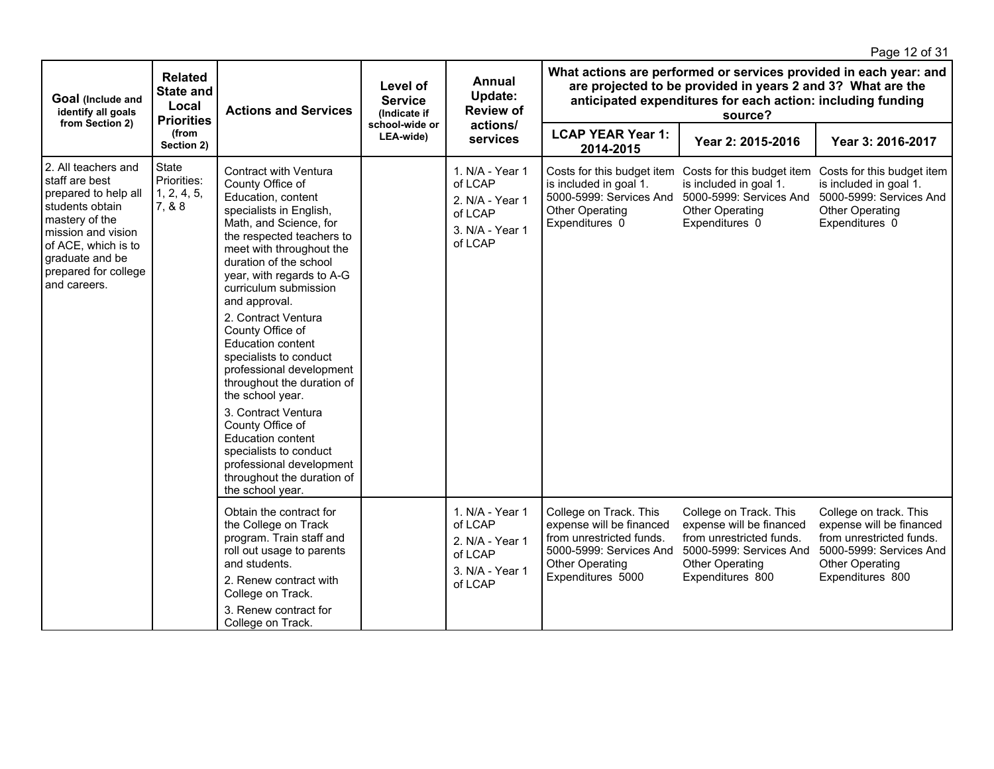|                                                                                                                                                                                                             |                                                                  |                                                                                                                                                                                                                                                                                                                                                                                                                                                                                                                                                                                                                                       |                                                              |                                                                                        |                                                                                                                                                   |                                                                                                                                                                                                            | Page 12 of 31                                                                                                                                    |  |  |
|-------------------------------------------------------------------------------------------------------------------------------------------------------------------------------------------------------------|------------------------------------------------------------------|---------------------------------------------------------------------------------------------------------------------------------------------------------------------------------------------------------------------------------------------------------------------------------------------------------------------------------------------------------------------------------------------------------------------------------------------------------------------------------------------------------------------------------------------------------------------------------------------------------------------------------------|--------------------------------------------------------------|----------------------------------------------------------------------------------------|---------------------------------------------------------------------------------------------------------------------------------------------------|------------------------------------------------------------------------------------------------------------------------------------------------------------------------------------------------------------|--------------------------------------------------------------------------------------------------------------------------------------------------|--|--|
| Goal (Include and<br>identify all goals<br>from Section 2)                                                                                                                                                  | <b>Related</b><br><b>State and</b><br>Local<br><b>Priorities</b> | <b>Actions and Services</b>                                                                                                                                                                                                                                                                                                                                                                                                                                                                                                                                                                                                           | Level of<br><b>Service</b><br>(Indicate if<br>school-wide or | <b>Annual</b><br>Update:<br><b>Review of</b>                                           |                                                                                                                                                   | What actions are performed or services provided in each year: and<br>are projected to be provided in years 2 and 3? What are the<br>anticipated expenditures for each action: including funding<br>source? |                                                                                                                                                  |  |  |
|                                                                                                                                                                                                             | (from<br>Section 2)                                              |                                                                                                                                                                                                                                                                                                                                                                                                                                                                                                                                                                                                                                       | LEA-wide)                                                    | actions/<br>services                                                                   | <b>LCAP YEAR Year 1:</b><br>2014-2015                                                                                                             | Year 2: 2015-2016                                                                                                                                                                                          | Year 3: 2016-2017                                                                                                                                |  |  |
| 2. All teachers and<br>Istaff are best<br>prepared to help all<br>students obtain<br>mastery of the<br>mission and vision<br>of ACE, which is to<br>graduate and be<br>prepared for college<br>and careers. | State<br>Priorities:<br>1, 2, 4, 5,<br>7, & 8                    | Contract with Ventura<br>County Office of<br>Education, content<br>specialists in English,<br>Math, and Science, for<br>the respected teachers to<br>meet with throughout the<br>duration of the school<br>year, with regards to A-G<br>curriculum submission<br>and approval.<br>2. Contract Ventura<br>County Office of<br><b>Education content</b><br>specialists to conduct<br>professional development<br>throughout the duration of<br>the school year.<br>3. Contract Ventura<br>County Office of<br>Education content<br>specialists to conduct<br>professional development<br>throughout the duration of<br>the school year. |                                                              | 1. N/A - Year 1<br>of LCAP<br>2. N/A - Year 1<br>of LCAP<br>3. N/A - Year 1<br>of LCAP | Costs for this budget item<br>is included in goal 1.<br>5000-5999: Services And<br><b>Other Operating</b><br>Expenditures 0                       | Costs for this budget item<br>is included in goal 1.<br>5000-5999: Services And<br><b>Other Operating</b><br>Expenditures 0                                                                                | Costs for this budget item<br>is included in goal 1.<br>5000-5999: Services And<br><b>Other Operating</b><br>Expenditures 0                      |  |  |
|                                                                                                                                                                                                             |                                                                  | Obtain the contract for<br>the College on Track<br>program. Train staff and<br>roll out usage to parents<br>and students.<br>2. Renew contract with<br>College on Track.<br>3. Renew contract for<br>College on Track.                                                                                                                                                                                                                                                                                                                                                                                                                |                                                              | 1. N/A - Year 1<br>of LCAP<br>2. N/A - Year 1<br>of LCAP<br>3. N/A - Year 1<br>of LCAP | College on Track. This<br>expense will be financed<br>from unrestricted funds.<br>5000-5999: Services And<br>Other Operating<br>Expenditures 5000 | College on Track. This<br>expense will be financed<br>from unrestricted funds.<br>5000-5999: Services And<br>Other Operating<br>Expenditures 800                                                           | College on track. This<br>expense will be financed<br>from unrestricted funds.<br>5000-5999: Services And<br>Other Operating<br>Expenditures 800 |  |  |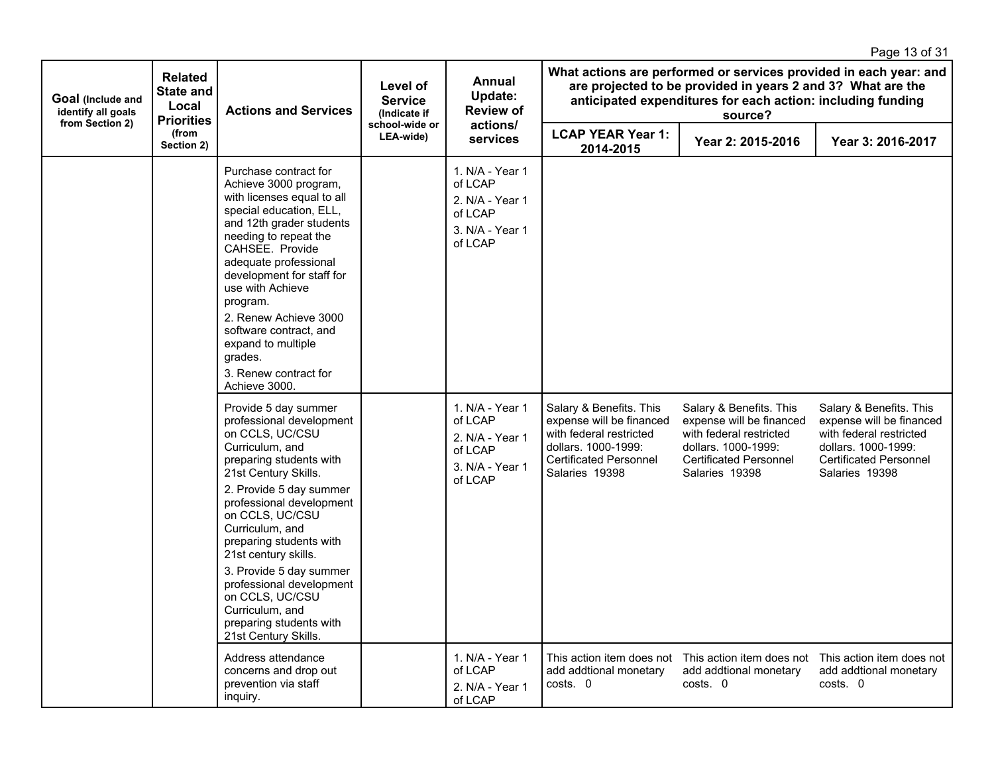|                                                            |                                                                  |                                                                                                                                                                                                                                                                                                                                                                                                                                           |                                                              |                                                                                        |                                                                                                                                                          |                                                                                                                                                                                                            | Page 13 of 31                                                                                                                                            |
|------------------------------------------------------------|------------------------------------------------------------------|-------------------------------------------------------------------------------------------------------------------------------------------------------------------------------------------------------------------------------------------------------------------------------------------------------------------------------------------------------------------------------------------------------------------------------------------|--------------------------------------------------------------|----------------------------------------------------------------------------------------|----------------------------------------------------------------------------------------------------------------------------------------------------------|------------------------------------------------------------------------------------------------------------------------------------------------------------------------------------------------------------|----------------------------------------------------------------------------------------------------------------------------------------------------------|
| Goal (Include and<br>identify all goals<br>from Section 2) | <b>Related</b><br><b>State and</b><br>Local<br><b>Priorities</b> | <b>Actions and Services</b>                                                                                                                                                                                                                                                                                                                                                                                                               | Level of<br><b>Service</b><br>(Indicate if<br>school-wide or | Annual<br>Update:<br><b>Review of</b><br>actions/                                      |                                                                                                                                                          | What actions are performed or services provided in each year: and<br>are projected to be provided in years 2 and 3? What are the<br>anticipated expenditures for each action: including funding<br>source? |                                                                                                                                                          |
|                                                            | (from<br>Section 2)                                              |                                                                                                                                                                                                                                                                                                                                                                                                                                           | LEA-wide)                                                    | services                                                                               | <b>LCAP YEAR Year 1:</b><br>2014-2015                                                                                                                    | Year 2: 2015-2016                                                                                                                                                                                          | Year 3: 2016-2017                                                                                                                                        |
|                                                            |                                                                  | Purchase contract for<br>Achieve 3000 program,<br>with licenses equal to all<br>special education, ELL,<br>and 12th grader students<br>needing to repeat the<br>CAHSEE. Provide<br>adequate professional<br>development for staff for<br>use with Achieve<br>program.<br>2. Renew Achieve 3000<br>software contract, and<br>expand to multiple<br>grades.<br>3. Renew contract for<br>Achieve 3000.                                       |                                                              | 1. N/A - Year 1<br>of LCAP<br>2. N/A - Year 1<br>of LCAP<br>3. N/A - Year 1<br>of LCAP |                                                                                                                                                          |                                                                                                                                                                                                            |                                                                                                                                                          |
|                                                            |                                                                  | Provide 5 day summer<br>professional development<br>on CCLS, UC/CSU<br>Curriculum, and<br>preparing students with<br>21st Century Skills.<br>2. Provide 5 day summer<br>professional development<br>on CCLS, UC/CSU<br>Curriculum, and<br>preparing students with<br>21st century skills.<br>3. Provide 5 day summer<br>professional development<br>on CCLS, UC/CSU<br>Curriculum, and<br>preparing students with<br>21st Century Skills. |                                                              | 1. N/A - Year 1<br>of LCAP<br>2. N/A - Year 1<br>of LCAP<br>3. N/A - Year 1<br>of LCAP | Salary & Benefits. This<br>expense will be financed<br>with federal restricted<br>dollars. 1000-1999:<br><b>Certificated Personnel</b><br>Salaries 19398 | Salary & Benefits. This<br>expense will be financed<br>with federal restricted<br>dollars, 1000-1999:<br><b>Certificated Personnel</b><br>Salaries 19398                                                   | Salary & Benefits. This<br>expense will be financed<br>with federal restricted<br>dollars, 1000-1999:<br><b>Certificated Personnel</b><br>Salaries 19398 |
|                                                            |                                                                  | Address attendance<br>concerns and drop out<br>prevention via staff<br>inquiry.                                                                                                                                                                                                                                                                                                                                                           |                                                              | 1. N/A - Year 1<br>of LCAP<br>2. N/A - Year 1<br>of LCAP                               | This action item does not<br>add addtional monetary<br>costs. 0                                                                                          | This action item does not<br>add addtional monetary<br>costs. 0                                                                                                                                            | This action item does not<br>add addtional monetary<br>costs. 0                                                                                          |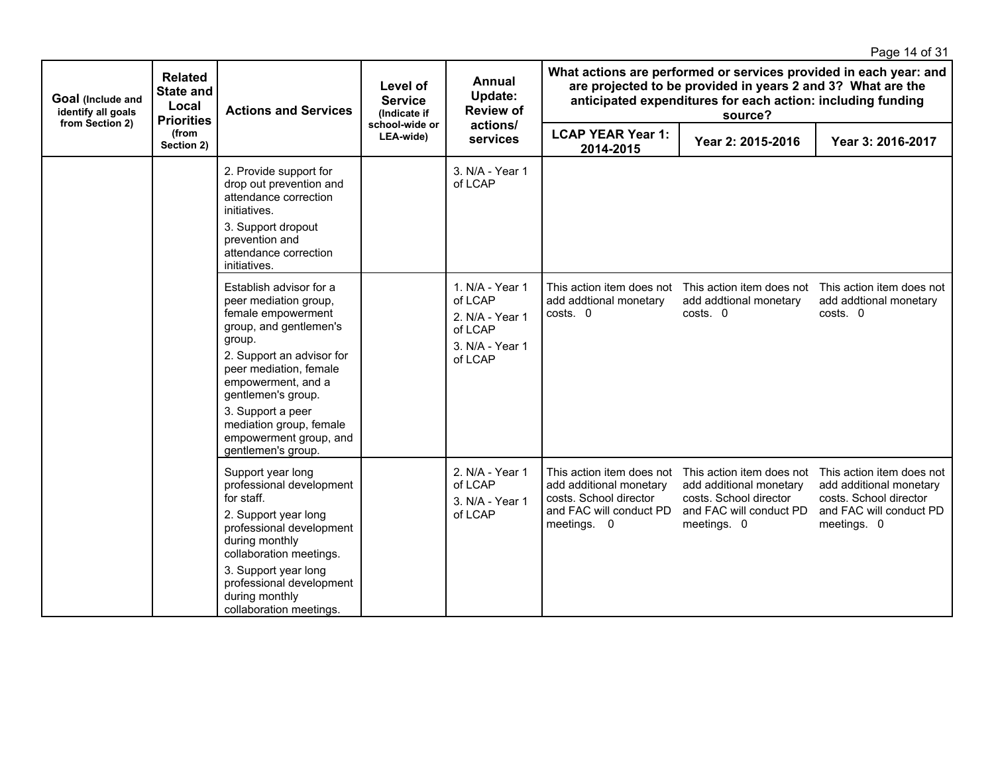|                                                            |                                                                  |                                                                                                                                                                                                                                                                                                               |                                            |                                                                                        |                                                                                                                          |                                                                                                                                       | Page 14 of 31                                                                                                            |
|------------------------------------------------------------|------------------------------------------------------------------|---------------------------------------------------------------------------------------------------------------------------------------------------------------------------------------------------------------------------------------------------------------------------------------------------------------|--------------------------------------------|----------------------------------------------------------------------------------------|--------------------------------------------------------------------------------------------------------------------------|---------------------------------------------------------------------------------------------------------------------------------------|--------------------------------------------------------------------------------------------------------------------------|
| Goal (Include and<br>identify all goals<br>from Section 2) | <b>Related</b><br><b>State and</b><br>Local<br><b>Priorities</b> | <b>Actions and Services</b>                                                                                                                                                                                                                                                                                   | Level of<br><b>Service</b><br>(Indicate if | Annual<br>Update:<br><b>Review of</b><br>actions/<br>services                          |                                                                                                                          | are projected to be provided in years 2 and 3? What are the<br>anticipated expenditures for each action: including funding<br>source? | What actions are performed or services provided in each year: and                                                        |
|                                                            | (from<br>Section 2)                                              |                                                                                                                                                                                                                                                                                                               | school-wide or<br>LEA-wide)                |                                                                                        | <b>LCAP YEAR Year 1:</b><br>2014-2015                                                                                    | Year 2: 2015-2016                                                                                                                     | Year 3: 2016-2017                                                                                                        |
|                                                            |                                                                  | 2. Provide support for<br>drop out prevention and<br>attendance correction<br>initiatives.<br>3. Support dropout<br>prevention and<br>attendance correction<br>initiatives.                                                                                                                                   |                                            | 3. N/A - Year 1<br>of LCAP                                                             |                                                                                                                          |                                                                                                                                       |                                                                                                                          |
|                                                            |                                                                  | Establish advisor for a<br>peer mediation group,<br>female empowerment<br>group, and gentlemen's<br>group.<br>2. Support an advisor for<br>peer mediation, female<br>empowerment, and a<br>gentlemen's group.<br>3. Support a peer<br>mediation group, female<br>empowerment group, and<br>gentlemen's group. |                                            | 1. N/A - Year 1<br>of LCAP<br>2. N/A - Year 1<br>of LCAP<br>3. N/A - Year 1<br>of LCAP | This action item does not<br>add addtional monetary<br>costs. 0                                                          | This action item does not<br>add addtional monetary<br>costs. 0                                                                       | This action item does not<br>add addtional monetary<br>costs. 0                                                          |
|                                                            |                                                                  | Support year long<br>professional development<br>for staff.<br>2. Support year long<br>professional development<br>during monthly<br>collaboration meetings.<br>3. Support year long<br>professional development<br>during monthly<br>collaboration meetings.                                                 |                                            | 2. N/A - Year 1<br>of LCAP<br>3. N/A - Year 1<br>of LCAP                               | This action item does not<br>add additional monetary<br>costs. School director<br>and FAC will conduct PD<br>meetings. 0 | This action item does not<br>add additional monetary<br>costs. School director<br>and FAC will conduct PD<br>meetings. 0              | This action item does not<br>add additional monetary<br>costs. School director<br>and FAC will conduct PD<br>meetings. 0 |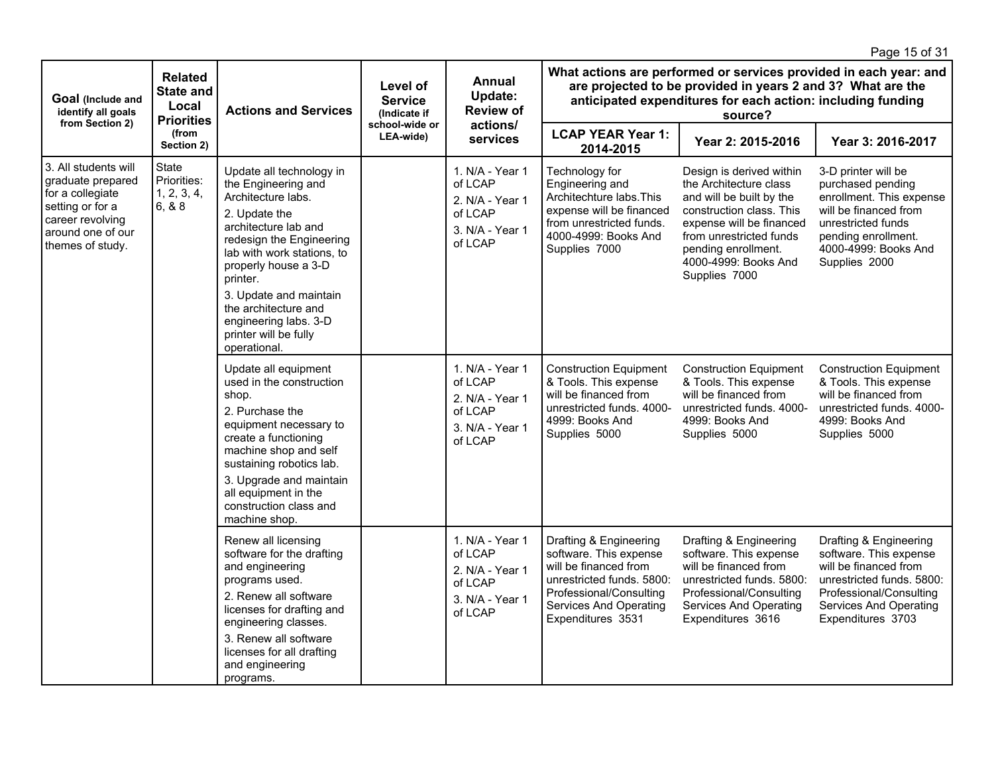|                                                                                                                                                |                                                                  |                                                                                                                                                                                                                                                                                                                                  |                                            |                                                                                        |                                                                                                                                                                                                            |                                                                                                                                                                                                                                   | Page 15 of 31                                                                                                                                                                       |  |  |
|------------------------------------------------------------------------------------------------------------------------------------------------|------------------------------------------------------------------|----------------------------------------------------------------------------------------------------------------------------------------------------------------------------------------------------------------------------------------------------------------------------------------------------------------------------------|--------------------------------------------|----------------------------------------------------------------------------------------|------------------------------------------------------------------------------------------------------------------------------------------------------------------------------------------------------------|-----------------------------------------------------------------------------------------------------------------------------------------------------------------------------------------------------------------------------------|-------------------------------------------------------------------------------------------------------------------------------------------------------------------------------------|--|--|
| Goal (Include and<br>identify all goals<br>from Section 2)                                                                                     | <b>Related</b><br><b>State and</b><br>Local<br><b>Priorities</b> | <b>Actions and Services</b>                                                                                                                                                                                                                                                                                                      | Level of<br><b>Service</b><br>(Indicate if | Annual<br>Update:<br><b>Review of</b>                                                  | What actions are performed or services provided in each year: and<br>are projected to be provided in years 2 and 3? What are the<br>anticipated expenditures for each action: including funding<br>source? |                                                                                                                                                                                                                                   |                                                                                                                                                                                     |  |  |
|                                                                                                                                                | (from<br>Section 2)                                              |                                                                                                                                                                                                                                                                                                                                  | school-wide or<br>LEA-wide)                | actions/<br>services                                                                   | <b>LCAP YEAR Year 1:</b><br>2014-2015                                                                                                                                                                      | Year 2: 2015-2016                                                                                                                                                                                                                 | Year 3: 2016-2017                                                                                                                                                                   |  |  |
| 3. All students will<br>graduate prepared<br>for a collegiate<br>setting or for a<br>career revolving<br>around one of our<br>themes of study. | State<br>Priorities:<br>1, 2, 3, 4,<br>6, 8.8                    | Update all technology in<br>the Engineering and<br>Architecture labs.<br>2. Update the<br>architecture lab and<br>redesign the Engineering<br>lab with work stations, to<br>properly house a 3-D<br>printer.<br>3. Update and maintain<br>the architecture and<br>engineering labs. 3-D<br>printer will be fully<br>operational. |                                            | 1. N/A - Year 1<br>of LCAP<br>2. N/A - Year 1<br>of LCAP<br>3. N/A - Year 1<br>of LCAP | Technology for<br>Engineering and<br>Architechture labs. This<br>expense will be financed<br>from unrestricted funds.<br>4000-4999: Books And<br>Supplies 7000                                             | Design is derived within<br>the Architecture class<br>and will be built by the<br>construction class. This<br>expense will be financed<br>from unrestricted funds<br>pending enrollment.<br>4000-4999: Books And<br>Supplies 7000 | 3-D printer will be<br>purchased pending<br>enrollment. This expense<br>will be financed from<br>unrestricted funds<br>pending enrollment.<br>4000-4999: Books And<br>Supplies 2000 |  |  |
|                                                                                                                                                |                                                                  | Update all equipment<br>used in the construction<br>shop.<br>2. Purchase the<br>equipment necessary to<br>create a functioning<br>machine shop and self<br>sustaining robotics lab.<br>3. Upgrade and maintain<br>all equipment in the<br>construction class and<br>machine shop.                                                |                                            | 1. N/A - Year 1<br>of LCAP<br>2. N/A - Year 1<br>of LCAP<br>3. N/A - Year 1<br>of LCAP | <b>Construction Equipment</b><br>& Tools. This expense<br>will be financed from<br>unrestricted funds. 4000-<br>4999: Books And<br>Supplies 5000                                                           | <b>Construction Equipment</b><br>& Tools. This expense<br>will be financed from<br>unrestricted funds, 4000-<br>4999: Books And<br>Supplies 5000                                                                                  | <b>Construction Equipment</b><br>& Tools. This expense<br>will be financed from<br>unrestricted funds, 4000-<br>4999: Books And<br>Supplies 5000                                    |  |  |
|                                                                                                                                                |                                                                  | Renew all licensing<br>software for the drafting<br>and engineering<br>programs used.<br>2. Renew all software<br>licenses for drafting and<br>engineering classes.<br>3. Renew all software<br>licenses for all drafting<br>and engineering<br>programs.                                                                        |                                            | 1. N/A - Year 1<br>of LCAP<br>2. N/A - Year 1<br>of LCAP<br>3. N/A - Year 1<br>of LCAP | Drafting & Engineering<br>software. This expense<br>will be financed from<br>unrestricted funds, 5800:<br>Professional/Consulting<br><b>Services And Operating</b><br>Expenditures 3531                    | Drafting & Engineering<br>software. This expense<br>will be financed from<br>unrestricted funds, 5800:<br>Professional/Consulting<br><b>Services And Operating</b><br>Expenditures 3616                                           | Drafting & Engineering<br>software. This expense<br>will be financed from<br>unrestricted funds, 5800:<br>Professional/Consulting<br>Services And Operating<br>Expenditures 3703    |  |  |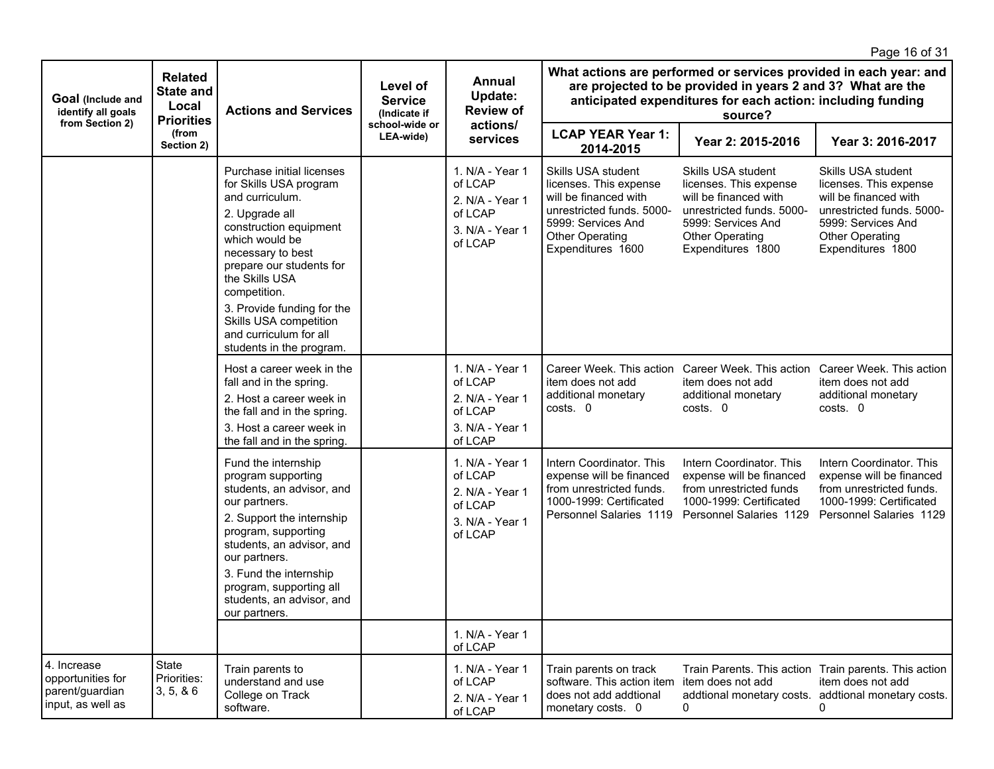|                                                                          |                                             |                                                                                                                                                                                                                                                                                                                                       |                                            |                                                                                        |                                                                                                                                                                                                            |                                                                                                                                                                  | Page 16 of 31                                                                                                                                                    |  |  |
|--------------------------------------------------------------------------|---------------------------------------------|---------------------------------------------------------------------------------------------------------------------------------------------------------------------------------------------------------------------------------------------------------------------------------------------------------------------------------------|--------------------------------------------|----------------------------------------------------------------------------------------|------------------------------------------------------------------------------------------------------------------------------------------------------------------------------------------------------------|------------------------------------------------------------------------------------------------------------------------------------------------------------------|------------------------------------------------------------------------------------------------------------------------------------------------------------------|--|--|
| Goal (Include and<br>identify all goals<br>from Section 2)               | <b>Related</b><br><b>State and</b><br>Local | <b>Actions and Services</b><br><b>Priorities</b>                                                                                                                                                                                                                                                                                      | Level of<br><b>Service</b><br>(Indicate if | Annual<br>Update:<br><b>Review of</b><br>actions/                                      | What actions are performed or services provided in each year: and<br>are projected to be provided in years 2 and 3? What are the<br>anticipated expenditures for each action: including funding<br>source? |                                                                                                                                                                  |                                                                                                                                                                  |  |  |
|                                                                          | (from<br>Section 2)                         |                                                                                                                                                                                                                                                                                                                                       | school-wide or<br>LEA-wide)                | services                                                                               | <b>LCAP YEAR Year 1:</b><br>2014-2015                                                                                                                                                                      | Year 2: 2015-2016                                                                                                                                                | Year 3: 2016-2017                                                                                                                                                |  |  |
|                                                                          |                                             | Purchase initial licenses<br>for Skills USA program<br>and curriculum.<br>2. Upgrade all<br>construction equipment<br>which would be<br>necessary to best<br>prepare our students for<br>the Skills USA<br>competition.<br>3. Provide funding for the<br>Skills USA competition<br>and curriculum for all<br>students in the program. |                                            | 1. N/A - Year 1<br>of LCAP<br>2. N/A - Year 1<br>of LCAP<br>3. N/A - Year 1<br>of LCAP | Skills USA student<br>licenses. This expense<br>will be financed with<br>unrestricted funds. 5000-<br>5999: Services And<br>Other Operating<br>Expenditures 1600                                           | Skills USA student<br>licenses. This expense<br>will be financed with<br>unrestricted funds. 5000-<br>5999: Services And<br>Other Operating<br>Expenditures 1800 | Skills USA student<br>licenses. This expense<br>will be financed with<br>unrestricted funds. 5000-<br>5999: Services And<br>Other Operating<br>Expenditures 1800 |  |  |
|                                                                          |                                             | Host a career week in the<br>fall and in the spring.<br>2. Host a career week in<br>the fall and in the spring.<br>3. Host a career week in<br>the fall and in the spring.                                                                                                                                                            |                                            | 1. N/A - Year 1<br>of LCAP<br>2. N/A - Year 1<br>of LCAP<br>3. N/A - Year 1<br>of LCAP | Career Week. This action<br>item does not add<br>additional monetary<br>costs. 0                                                                                                                           | Career Week, This action<br>item does not add<br>additional monetary<br>costs. 0                                                                                 | Career Week. This action<br>item does not add<br>additional monetary<br>costs. 0                                                                                 |  |  |
|                                                                          |                                             | Fund the internship<br>program supporting<br>students, an advisor, and<br>our partners.<br>2. Support the internship<br>program, supporting<br>students, an advisor, and<br>our partners.<br>3. Fund the internship<br>program, supporting all<br>students, an advisor, and<br>our partners.                                          |                                            | 1. N/A - Year 1<br>of LCAP<br>2. N/A - Year 1<br>of LCAP<br>3. N/A - Year 1<br>of LCAP | Intern Coordinator, This<br>expense will be financed<br>from unrestricted funds.<br>1000-1999: Certificated<br>Personnel Salaries 1119                                                                     | Intern Coordinator, This<br>expense will be financed<br>from unrestricted funds<br>1000-1999: Certificated<br>Personnel Salaries 1129                            | Intern Coordinator, This<br>expense will be financed<br>from unrestricted funds.<br>1000-1999: Certificated<br>Personnel Salaries 1129                           |  |  |
|                                                                          |                                             |                                                                                                                                                                                                                                                                                                                                       |                                            | 1. N/A - Year 1<br>of LCAP                                                             |                                                                                                                                                                                                            |                                                                                                                                                                  |                                                                                                                                                                  |  |  |
| 4. Increase<br>opportunities for<br>parent/guardian<br>input, as well as | State<br>Priorities:<br>3, 5, 86            | Train parents to<br>understand and use<br>College on Track<br>software.                                                                                                                                                                                                                                                               |                                            | 1. N/A - Year 1<br>of LCAP<br>2. N/A - Year 1<br>of LCAP                               | Train parents on track<br>software. This action item<br>does not add addtional<br>monetary costs. 0                                                                                                        | item does not add<br>0                                                                                                                                           | Train Parents. This action Train parents. This action<br>item does not add<br>addtional monetary costs. addtional monetary costs.<br>0                           |  |  |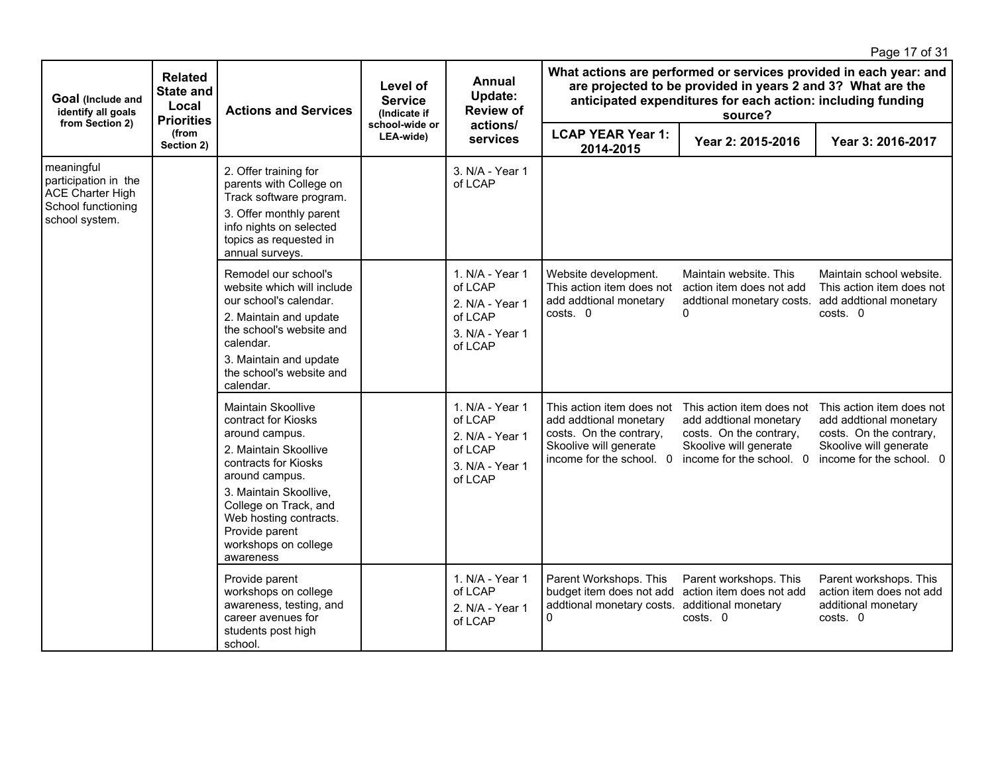|                                                                                                       |                                                                  |                                                                                                                                                                                                                                                                    |                                            |                                                                                        |                                                                                                                                      |                                                                                                                                                                                                            | Page 17 of 31                                                                                                                        |  |  |
|-------------------------------------------------------------------------------------------------------|------------------------------------------------------------------|--------------------------------------------------------------------------------------------------------------------------------------------------------------------------------------------------------------------------------------------------------------------|--------------------------------------------|----------------------------------------------------------------------------------------|--------------------------------------------------------------------------------------------------------------------------------------|------------------------------------------------------------------------------------------------------------------------------------------------------------------------------------------------------------|--------------------------------------------------------------------------------------------------------------------------------------|--|--|
| Goal (Include and<br>identify all goals<br>from Section 2)                                            | <b>Related</b><br><b>State and</b><br>Local<br><b>Priorities</b> | <b>Actions and Services</b>                                                                                                                                                                                                                                        | Level of<br><b>Service</b><br>(Indicate if | Annual<br>Update:<br><b>Review of</b>                                                  |                                                                                                                                      | What actions are performed or services provided in each year: and<br>are projected to be provided in years 2 and 3? What are the<br>anticipated expenditures for each action: including funding<br>source? |                                                                                                                                      |  |  |
|                                                                                                       | (from<br>Section 2)                                              |                                                                                                                                                                                                                                                                    | school-wide or<br>LEA-wide)                | actions/<br>services                                                                   | <b>LCAP YEAR Year 1:</b><br>2014-2015                                                                                                | Year 2: 2015-2016                                                                                                                                                                                          | Year 3: 2016-2017                                                                                                                    |  |  |
| meaningful<br>participation in the<br><b>ACE Charter High</b><br>School functioning<br>school system. |                                                                  | 2. Offer training for<br>parents with College on<br>Track software program.<br>3. Offer monthly parent<br>info nights on selected<br>topics as requested in<br>annual surveys.                                                                                     |                                            | 3. N/A - Year 1<br>of LCAP                                                             |                                                                                                                                      |                                                                                                                                                                                                            |                                                                                                                                      |  |  |
|                                                                                                       |                                                                  | Remodel our school's<br>website which will include<br>our school's calendar.<br>2. Maintain and update<br>the school's website and<br>calendar.<br>3. Maintain and update<br>the school's website and<br>calendar.                                                 |                                            | 1. N/A - Year 1<br>of LCAP<br>2. N/A - Year 1<br>of LCAP<br>3. N/A - Year 1<br>of LCAP | Website development.<br>This action item does not<br>add addtional monetary<br>costs. 0                                              | Maintain website. This<br>action item does not add<br>addtional monetary costs.<br>0                                                                                                                       | Maintain school website.<br>This action item does not<br>add addtional monetary<br>costs. 0                                          |  |  |
|                                                                                                       |                                                                  | Maintain Skoollive<br>contract for Kiosks<br>around campus.<br>2. Maintain Skoollive<br>contracts for Kiosks<br>around campus.<br>3. Maintain Skoollive,<br>College on Track, and<br>Web hosting contracts.<br>Provide parent<br>workshops on college<br>awareness |                                            | 1. N/A - Year 1<br>of LCAP<br>2. N/A - Year 1<br>of LCAP<br>3. N/A - Year 1<br>of LCAP | This action item does not<br>add addtional monetary<br>costs. On the contrary,<br>Skoolive will generate<br>income for the school. 0 | This action item does not<br>add addtional monetary<br>costs. On the contrary,<br>Skoolive will generate<br>income for the school. 0                                                                       | This action item does not<br>add addtional monetary<br>costs. On the contrary,<br>Skoolive will generate<br>income for the school. 0 |  |  |
|                                                                                                       |                                                                  | Provide parent<br>workshops on college<br>awareness, testing, and<br>career avenues for<br>students post high<br>school.                                                                                                                                           |                                            | 1. N/A - Year 1<br>of LCAP<br>2. N/A - Year 1<br>of LCAP                               | Parent Workshops. This<br>budget item does not add<br>addtional monetary costs. additional monetary<br>$\mathbf{0}$                  | Parent workshops. This<br>action item does not add<br>costs. 0                                                                                                                                             | Parent workshops. This<br>action item does not add<br>additional monetary<br>costs. 0                                                |  |  |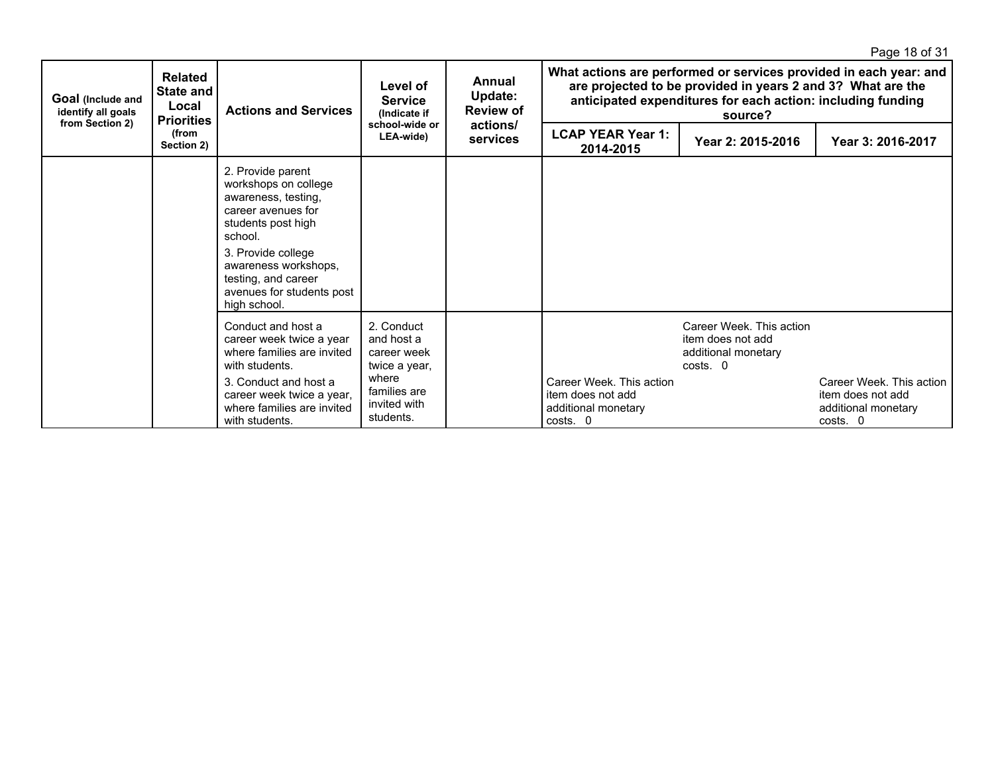|                                                            |                                                                  |                                                                                                                                                                                                                                           |                                                                                                                |                                       |                                                                                                                                                                                                            |                                                                                  | Page 18 of 31                                                                    |
|------------------------------------------------------------|------------------------------------------------------------------|-------------------------------------------------------------------------------------------------------------------------------------------------------------------------------------------------------------------------------------------|----------------------------------------------------------------------------------------------------------------|---------------------------------------|------------------------------------------------------------------------------------------------------------------------------------------------------------------------------------------------------------|----------------------------------------------------------------------------------|----------------------------------------------------------------------------------|
| Goal (Include and<br>identify all goals<br>from Section 2) | <b>Related</b><br><b>State and</b><br>Local<br><b>Priorities</b> | <b>Actions and Services</b>                                                                                                                                                                                                               | Level of<br><b>Service</b><br>(Indicate if<br>school-wide or<br>LEA-wide)                                      | Annual<br>Update:<br><b>Review of</b> | What actions are performed or services provided in each year: and<br>are projected to be provided in years 2 and 3? What are the<br>anticipated expenditures for each action: including funding<br>source? |                                                                                  |                                                                                  |
|                                                            | (from<br>Section 2)                                              |                                                                                                                                                                                                                                           |                                                                                                                | actions/<br><b>services</b>           | <b>LCAP YEAR Year 1:</b><br>2014-2015                                                                                                                                                                      | Year 2: 2015-2016                                                                | Year 3: 2016-2017                                                                |
|                                                            |                                                                  | 2. Provide parent<br>workshops on college<br>awareness, testing,<br>career avenues for<br>students post high<br>school.<br>3. Provide college<br>awareness workshops,<br>testing, and career<br>avenues for students post<br>high school. |                                                                                                                |                                       |                                                                                                                                                                                                            |                                                                                  |                                                                                  |
|                                                            |                                                                  | Conduct and host a<br>career week twice a year<br>where families are invited<br>with students.<br>3. Conduct and host a<br>career week twice a year,<br>where families are invited<br>with students.                                      | 2. Conduct<br>and host a<br>career week<br>twice a year,<br>where<br>families are<br>invited with<br>students. |                                       | Career Week. This action<br>item does not add<br>additional monetary<br>costs. 0                                                                                                                           | Career Week. This action<br>item does not add<br>additional monetary<br>costs. 0 | Career Week. This action<br>item does not add<br>additional monetary<br>costs. 0 |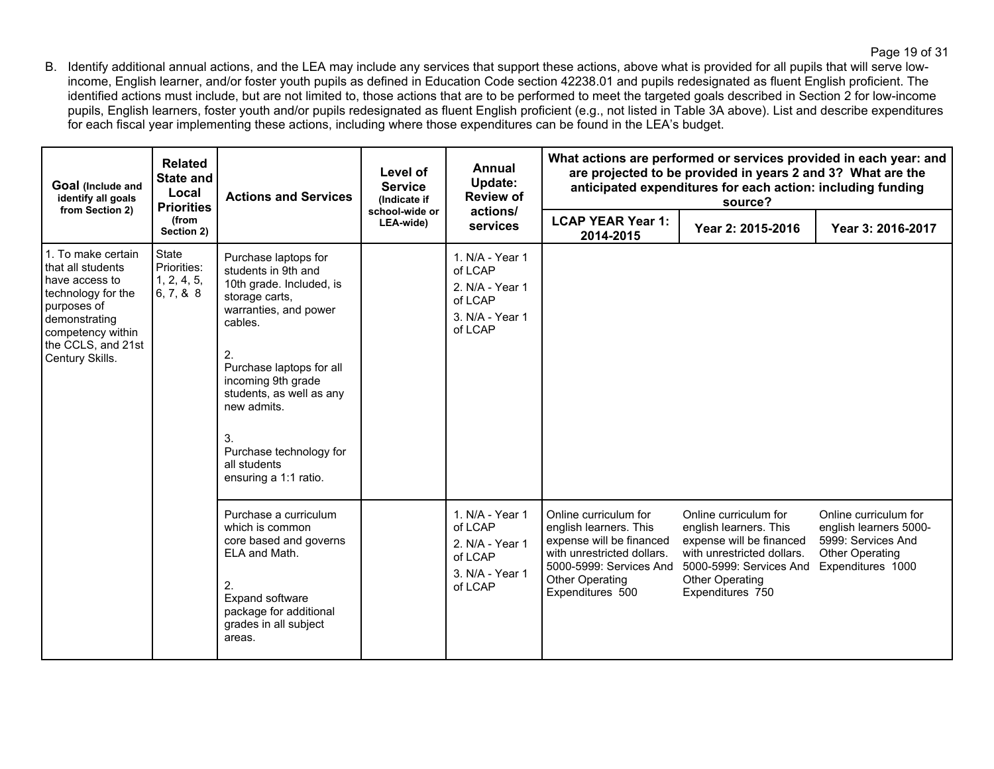B. Identify additional annual actions, and the LEA may include any services that support these actions, above what is provided for all pupils that will serve lowincome, English learner, and/or foster youth pupils as defined in Education Code section 42238.01 and pupils redesignated as fluent English proficient. The identified actions must include, but are not limited to, those actions that are to be performed to meet the targeted goals described in Section 2 for low-income pupils, English learners, foster youth and/or pupils redesignated as fluent English proficient (e.g., not listed in Table 3A above). List and describe expenditures for each fiscal year implementing these actions, including where those expenditures can be found in the LEA's budget.

| Goal (Include and<br>identify all goals<br>from Section 2)                                                                                                                    | <b>Related</b><br>State and<br>Local<br><b>Priorities</b> | <b>Actions and Services</b>                                                                                                                                                                                                                                                                                | Level of<br><b>Service</b><br>(Indicate if | Annual<br>Update:<br><b>Review of</b>                                                  | What actions are performed or services provided in each year: and<br>are projected to be provided in years 2 and 3? What are the<br>anticipated expenditures for each action: including funding<br>source? |                                                                                                                                                                                    |                                                                                                                      |  |
|-------------------------------------------------------------------------------------------------------------------------------------------------------------------------------|-----------------------------------------------------------|------------------------------------------------------------------------------------------------------------------------------------------------------------------------------------------------------------------------------------------------------------------------------------------------------------|--------------------------------------------|----------------------------------------------------------------------------------------|------------------------------------------------------------------------------------------------------------------------------------------------------------------------------------------------------------|------------------------------------------------------------------------------------------------------------------------------------------------------------------------------------|----------------------------------------------------------------------------------------------------------------------|--|
|                                                                                                                                                                               | (from<br>Section 2)                                       |                                                                                                                                                                                                                                                                                                            | school-wide or<br>LEA-wide)                | actions/<br>services                                                                   | <b>LCAP YEAR Year 1:</b><br>2014-2015                                                                                                                                                                      | Year 2: 2015-2016                                                                                                                                                                  | Year 3: 2016-2017                                                                                                    |  |
| 1. To make certain<br>that all students<br>have access to<br>technology for the<br>purposes of<br>demonstrating<br>competency within<br>the CCLS, and 21st<br>Century Skills. | <b>State</b><br>Priorities:<br>1, 2, 4, 5,<br>6, 7, 8, 8  | Purchase laptops for<br>students in 9th and<br>10th grade. Included, is<br>storage carts,<br>warranties, and power<br>cables.<br>2.<br>Purchase laptops for all<br>incoming 9th grade<br>students, as well as any<br>new admits.<br>3.<br>Purchase technology for<br>all students<br>ensuring a 1:1 ratio. |                                            | 1. N/A - Year 1<br>of LCAP<br>2. N/A - Year 1<br>of LCAP<br>3. N/A - Year 1<br>of LCAP |                                                                                                                                                                                                            |                                                                                                                                                                                    |                                                                                                                      |  |
|                                                                                                                                                                               |                                                           | Purchase a curriculum<br>which is common<br>core based and governs<br>ELA and Math.<br>2.<br>Expand software<br>package for additional<br>grades in all subject<br>areas.                                                                                                                                  |                                            | 1. N/A - Year 1<br>of LCAP<br>2. N/A - Year 1<br>of LCAP<br>3. N/A - Year 1<br>of LCAP | Online curriculum for<br>english learners. This<br>expense will be financed<br>with unrestricted dollars.<br>5000-5999: Services And<br><b>Other Operating</b><br>Expenditures 500                         | Online curriculum for<br>english learners. This<br>expense will be financed<br>with unrestricted dollars.<br>5000-5999: Services And<br><b>Other Operating</b><br>Expenditures 750 | Online curriculum for<br>english learners 5000-<br>5999: Services And<br><b>Other Operating</b><br>Expenditures 1000 |  |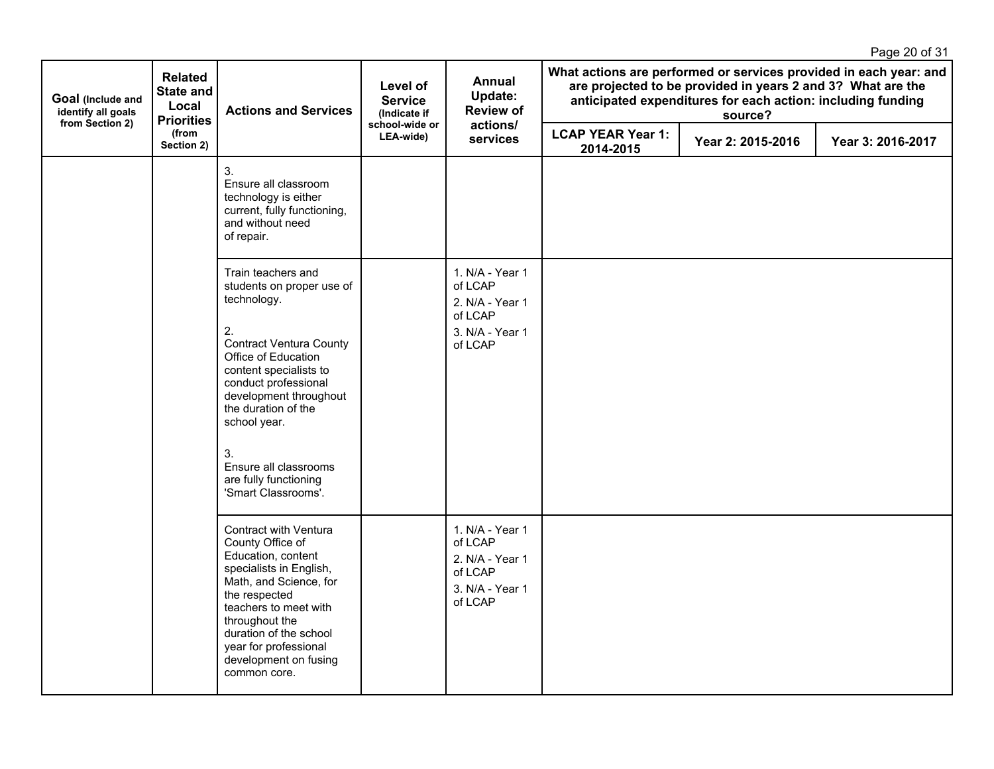|                                                            |                                             |                                                                                                                                                                                                                                                                                                                                 |                                            |                                                                                        |                                                                                                                                                                                                            |                   | Page 20 of 31     |
|------------------------------------------------------------|---------------------------------------------|---------------------------------------------------------------------------------------------------------------------------------------------------------------------------------------------------------------------------------------------------------------------------------------------------------------------------------|--------------------------------------------|----------------------------------------------------------------------------------------|------------------------------------------------------------------------------------------------------------------------------------------------------------------------------------------------------------|-------------------|-------------------|
| Goal (Include and<br>identify all goals<br>from Section 2) | <b>Related</b><br><b>State and</b><br>Local | <b>Actions and Services</b><br><b>Priorities</b>                                                                                                                                                                                                                                                                                | Level of<br><b>Service</b><br>(Indicate if | <b>Annual</b><br><b>Update:</b><br><b>Review of</b>                                    | What actions are performed or services provided in each year: and<br>are projected to be provided in years 2 and 3? What are the<br>anticipated expenditures for each action: including funding<br>source? |                   |                   |
|                                                            | (from<br>Section 2)                         |                                                                                                                                                                                                                                                                                                                                 | school-wide or<br>LEA-wide)                | actions/<br>services                                                                   | <b>LCAP YEAR Year 1:</b><br>2014-2015                                                                                                                                                                      | Year 2: 2015-2016 | Year 3: 2016-2017 |
|                                                            |                                             | 3.<br>Ensure all classroom<br>technology is either<br>current, fully functioning,<br>and without need<br>of repair.                                                                                                                                                                                                             |                                            |                                                                                        |                                                                                                                                                                                                            |                   |                   |
|                                                            |                                             | Train teachers and<br>students on proper use of<br>technology.<br>2.<br><b>Contract Ventura County</b><br>Office of Education<br>content specialists to<br>conduct professional<br>development throughout<br>the duration of the<br>school year.<br>3.<br>Ensure all classrooms<br>are fully functioning<br>'Smart Classrooms'. |                                            | 1. N/A - Year 1<br>of LCAP<br>2. N/A - Year 1<br>of LCAP<br>3. N/A - Year 1<br>of LCAP |                                                                                                                                                                                                            |                   |                   |
|                                                            |                                             | Contract with Ventura<br>County Office of<br>Education, content<br>specialists in English,<br>Math, and Science, for<br>the respected<br>teachers to meet with<br>throughout the<br>duration of the school<br>year for professional<br>development on fusing<br>common core.                                                    |                                            | 1. N/A - Year 1<br>of LCAP<br>2. N/A - Year 1<br>of LCAP<br>3. N/A - Year 1<br>of LCAP |                                                                                                                                                                                                            |                   |                   |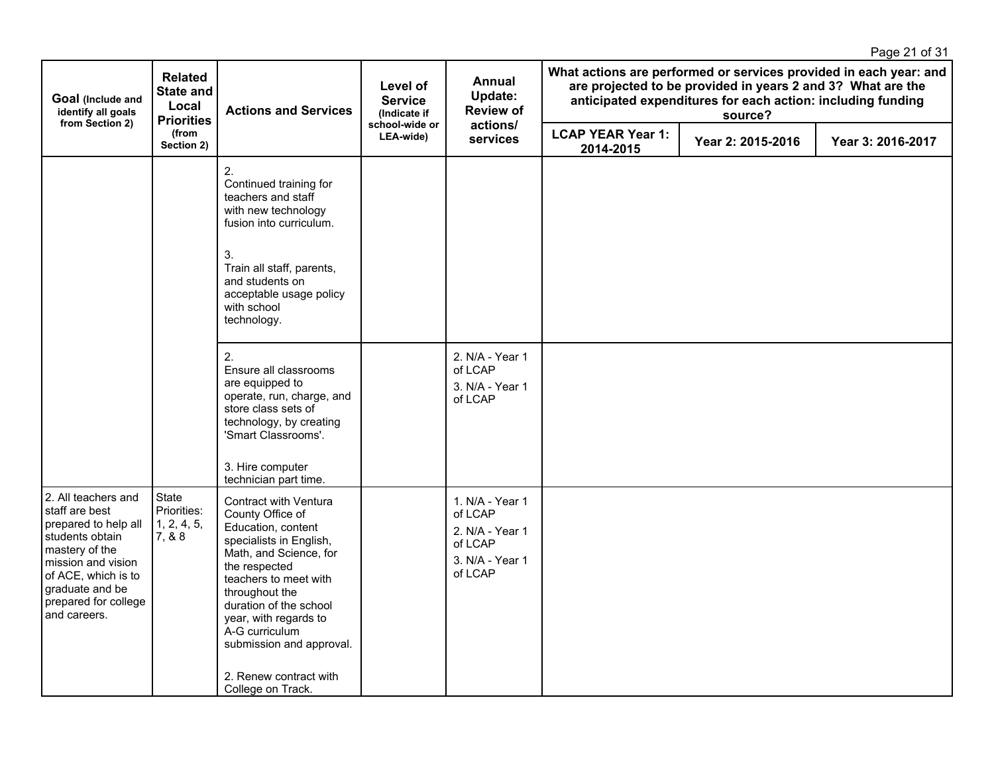|                                                                                                                                                                                                            |                                                                  |                                                                                                                                                                                                                                                                                                                                                           |                                            |                                                                                        |                                       |                                                                                                                                       | Page 21 of 31                                                     |
|------------------------------------------------------------------------------------------------------------------------------------------------------------------------------------------------------------|------------------------------------------------------------------|-----------------------------------------------------------------------------------------------------------------------------------------------------------------------------------------------------------------------------------------------------------------------------------------------------------------------------------------------------------|--------------------------------------------|----------------------------------------------------------------------------------------|---------------------------------------|---------------------------------------------------------------------------------------------------------------------------------------|-------------------------------------------------------------------|
| Goal (Include and<br>identify all goals<br>from Section 2)                                                                                                                                                 | <b>Related</b><br><b>State and</b><br>Local<br><b>Priorities</b> | <b>Actions and Services</b>                                                                                                                                                                                                                                                                                                                               | Level of<br><b>Service</b><br>(Indicate if | Annual<br>Update:<br><b>Review of</b>                                                  |                                       | are projected to be provided in years 2 and 3? What are the<br>anticipated expenditures for each action: including funding<br>source? | What actions are performed or services provided in each year: and |
|                                                                                                                                                                                                            | (from<br>Section 2)                                              |                                                                                                                                                                                                                                                                                                                                                           | school-wide or<br>LEA-wide)                | actions/<br>services                                                                   | <b>LCAP YEAR Year 1:</b><br>2014-2015 | Year 2: 2015-2016                                                                                                                     | Year 3: 2016-2017                                                 |
|                                                                                                                                                                                                            |                                                                  | 2.<br>Continued training for<br>teachers and staff<br>with new technology<br>fusion into curriculum.                                                                                                                                                                                                                                                      |                                            |                                                                                        |                                       |                                                                                                                                       |                                                                   |
|                                                                                                                                                                                                            |                                                                  | 3.<br>Train all staff, parents,<br>and students on<br>acceptable usage policy<br>with school<br>technology.                                                                                                                                                                                                                                               |                                            |                                                                                        |                                       |                                                                                                                                       |                                                                   |
|                                                                                                                                                                                                            |                                                                  | 2.<br>Ensure all classrooms<br>are equipped to<br>operate, run, charge, and<br>store class sets of<br>technology, by creating<br>'Smart Classrooms'.<br>3. Hire computer                                                                                                                                                                                  |                                            | 2. N/A - Year 1<br>of LCAP<br>3. N/A - Year 1<br>of LCAP                               |                                       |                                                                                                                                       |                                                                   |
| 2. All teachers and<br>staff are best<br>prepared to help all<br>students obtain<br>mastery of the<br>mission and vision<br>of ACE, which is to<br>graduate and be<br>prepared for college<br>and careers. | State<br>Priorities:<br>1, 2, 4, 5,<br>7, & 8                    | technician part time.<br>Contract with Ventura<br>County Office of<br>Education, content<br>specialists in English,<br>Math, and Science, for<br>the respected<br>teachers to meet with<br>throughout the<br>duration of the school<br>year, with regards to<br>A-G curriculum<br>submission and approval.<br>2. Renew contract with<br>College on Track. |                                            | 1. N/A - Year 1<br>of LCAP<br>2. N/A - Year 1<br>of LCAP<br>3. N/A - Year 1<br>of LCAP |                                       |                                                                                                                                       |                                                                   |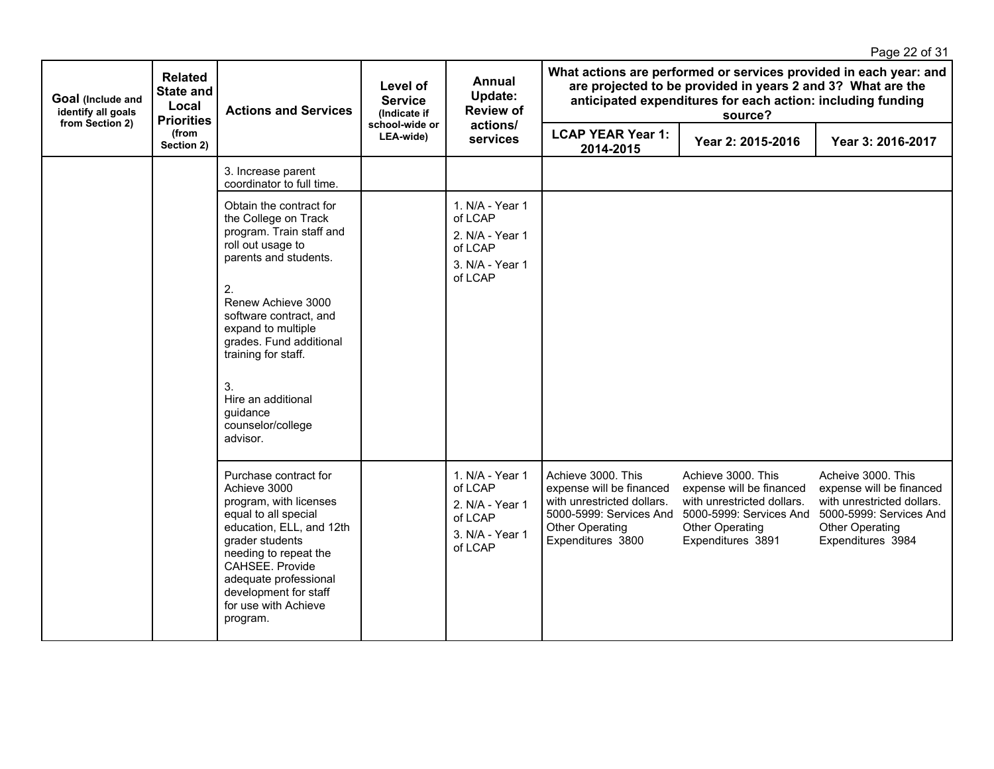|                                                            |                                                                  |                                                                                                                                                                                                                                                                                                                                  |                                            |                                                                                        |                                                                                                                                                 |                                                                                                                                                        | Page 22 of 31                                                                                                                                   |  |
|------------------------------------------------------------|------------------------------------------------------------------|----------------------------------------------------------------------------------------------------------------------------------------------------------------------------------------------------------------------------------------------------------------------------------------------------------------------------------|--------------------------------------------|----------------------------------------------------------------------------------------|-------------------------------------------------------------------------------------------------------------------------------------------------|--------------------------------------------------------------------------------------------------------------------------------------------------------|-------------------------------------------------------------------------------------------------------------------------------------------------|--|
| Goal (Include and<br>identify all goals<br>from Section 2) | <b>Related</b><br><b>State and</b><br>Local<br><b>Priorities</b> | <b>Actions and Services</b>                                                                                                                                                                                                                                                                                                      | Level of<br><b>Service</b><br>(Indicate if | <b>Annual</b><br>Update:<br><b>Review of</b>                                           |                                                                                                                                                 | are projected to be provided in years 2 and 3? What are the<br>anticipated expenditures for each action: including funding<br>source?                  | What actions are performed or services provided in each year: and                                                                               |  |
|                                                            | (from<br>Section 2)                                              |                                                                                                                                                                                                                                                                                                                                  | school-wide or<br>LEA-wide)                | actions/<br>services                                                                   | <b>LCAP YEAR Year 1:</b><br>2014-2015                                                                                                           | Year 2: 2015-2016                                                                                                                                      | Year 3: 2016-2017                                                                                                                               |  |
|                                                            |                                                                  | 3. Increase parent<br>coordinator to full time.                                                                                                                                                                                                                                                                                  |                                            |                                                                                        |                                                                                                                                                 |                                                                                                                                                        |                                                                                                                                                 |  |
|                                                            |                                                                  | Obtain the contract for<br>the College on Track<br>program. Train staff and<br>roll out usage to<br>parents and students.<br>2.<br>Renew Achieve 3000<br>software contract, and<br>expand to multiple<br>grades. Fund additional<br>training for staff.<br>3.<br>Hire an additional<br>guidance<br>counselor/college<br>advisor. |                                            | 1. N/A - Year 1<br>of LCAP<br>2. N/A - Year 1<br>of LCAP<br>3. N/A - Year 1<br>of LCAP |                                                                                                                                                 |                                                                                                                                                        |                                                                                                                                                 |  |
|                                                            |                                                                  | Purchase contract for<br>Achieve 3000<br>program, with licenses<br>equal to all special<br>education, ELL, and 12th<br>grader students<br>needing to repeat the<br>CAHSEE. Provide<br>adequate professional<br>development for staff<br>for use with Achieve<br>program.                                                         |                                            | 1. N/A - Year 1<br>of LCAP<br>2. N/A - Year 1<br>of LCAP<br>3. N/A - Year 1<br>of LCAP | Achieve 3000. This<br>expense will be financed<br>with unrestricted dollars.<br>5000-5999: Services And<br>Other Operating<br>Expenditures 3800 | Achieve 3000. This<br>expense will be financed<br>with unrestricted dollars.<br>5000-5999: Services And<br><b>Other Operating</b><br>Expenditures 3891 | Acheive 3000. This<br>expense will be financed<br>with unrestricted dollars.<br>5000-5999: Services And<br>Other Operating<br>Expenditures 3984 |  |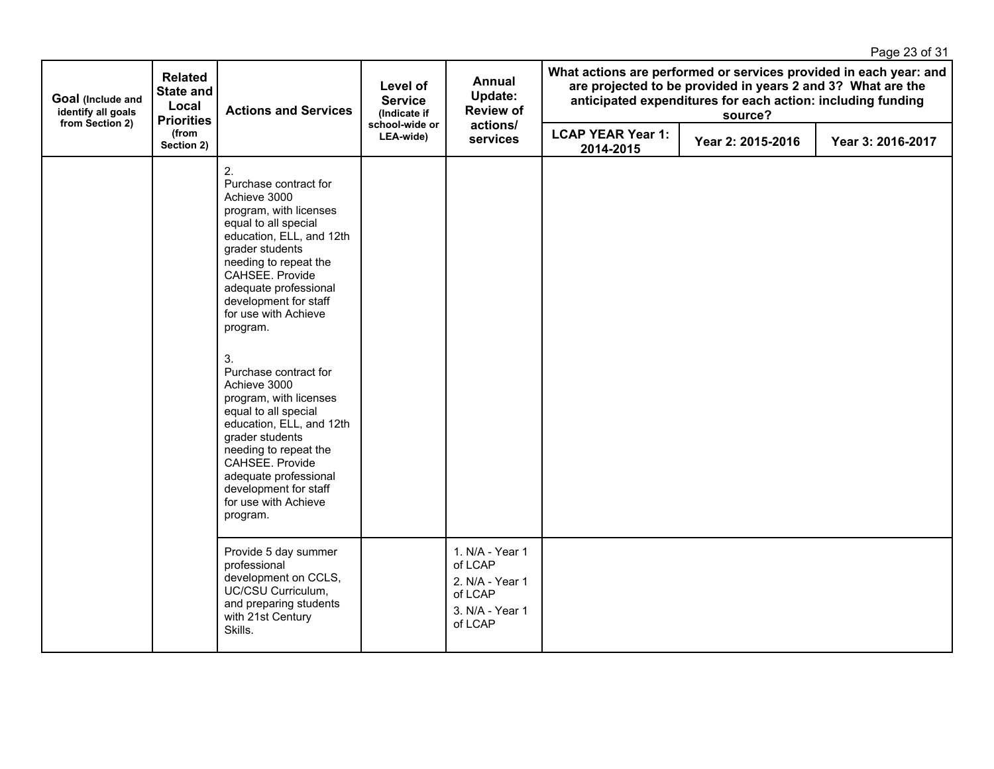|                                                            |                                                                  |                                                                                                                                                                                                                                                                                                                                                                                                                                                                                                                                                                  |                                            |                                                                                        |                                                                                                                                                                                                            |                   | Page 23 of 31     |
|------------------------------------------------------------|------------------------------------------------------------------|------------------------------------------------------------------------------------------------------------------------------------------------------------------------------------------------------------------------------------------------------------------------------------------------------------------------------------------------------------------------------------------------------------------------------------------------------------------------------------------------------------------------------------------------------------------|--------------------------------------------|----------------------------------------------------------------------------------------|------------------------------------------------------------------------------------------------------------------------------------------------------------------------------------------------------------|-------------------|-------------------|
| Goal (Include and<br>identify all goals<br>from Section 2) | <b>Related</b><br><b>State and</b><br>Local<br><b>Priorities</b> | <b>Actions and Services</b>                                                                                                                                                                                                                                                                                                                                                                                                                                                                                                                                      | Level of<br><b>Service</b><br>(Indicate if | Annual<br>Update:<br><b>Review of</b>                                                  | What actions are performed or services provided in each year: and<br>are projected to be provided in years 2 and 3? What are the<br>anticipated expenditures for each action: including funding<br>source? |                   |                   |
|                                                            | (from<br>Section 2)                                              |                                                                                                                                                                                                                                                                                                                                                                                                                                                                                                                                                                  | school-wide or<br>LEA-wide)                | actions/<br>services                                                                   | <b>LCAP YEAR Year 1:</b><br>2014-2015                                                                                                                                                                      | Year 2: 2015-2016 | Year 3: 2016-2017 |
|                                                            |                                                                  | 2.<br>Purchase contract for<br>Achieve 3000<br>program, with licenses<br>equal to all special<br>education, ELL, and 12th<br>grader students<br>needing to repeat the<br>CAHSEE. Provide<br>adequate professional<br>development for staff<br>for use with Achieve<br>program.<br>3.<br>Purchase contract for<br>Achieve 3000<br>program, with licenses<br>equal to all special<br>education, ELL, and 12th<br>grader students<br>needing to repeat the<br>CAHSEE. Provide<br>adequate professional<br>development for staff<br>for use with Achieve<br>program. |                                            |                                                                                        |                                                                                                                                                                                                            |                   |                   |
|                                                            |                                                                  | Provide 5 day summer<br>professional<br>development on CCLS,<br>UC/CSU Curriculum,<br>and preparing students<br>with 21st Century<br>Skills.                                                                                                                                                                                                                                                                                                                                                                                                                     |                                            | 1. N/A - Year 1<br>of LCAP<br>2. N/A - Year 1<br>of LCAP<br>3. N/A - Year 1<br>of LCAP |                                                                                                                                                                                                            |                   |                   |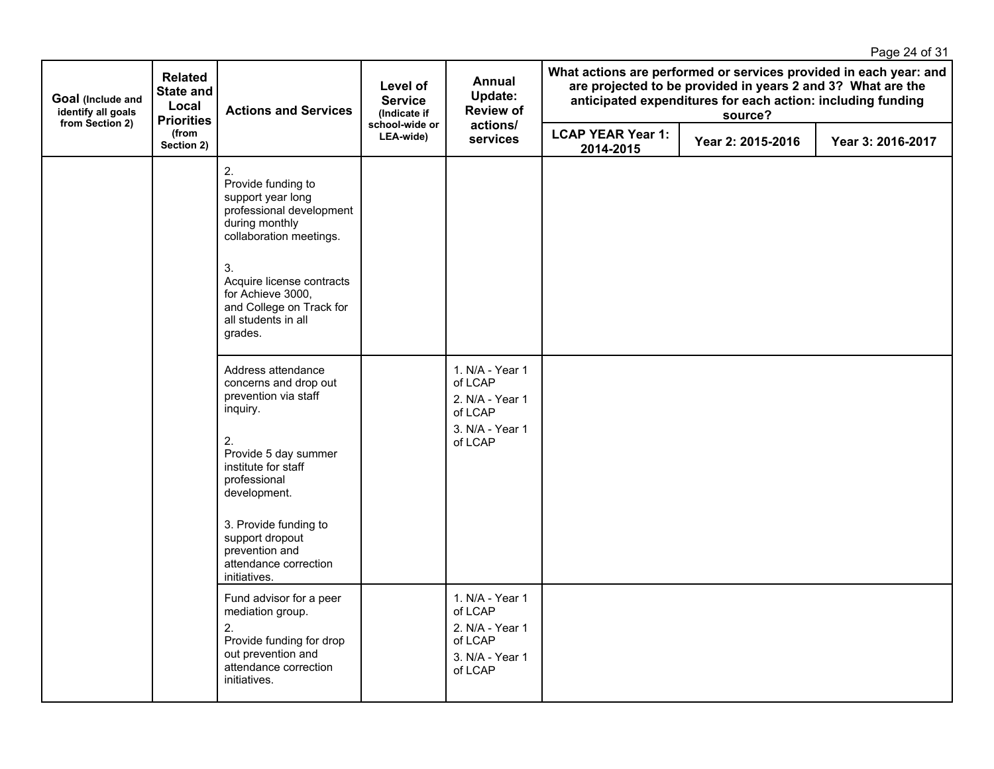|                                                            |                                                                  |                                                                                                                                                                                                                                                                             |                                            |                                                                                        |                                                                                                                                                                                                            |                   | Page 24 of 31     |
|------------------------------------------------------------|------------------------------------------------------------------|-----------------------------------------------------------------------------------------------------------------------------------------------------------------------------------------------------------------------------------------------------------------------------|--------------------------------------------|----------------------------------------------------------------------------------------|------------------------------------------------------------------------------------------------------------------------------------------------------------------------------------------------------------|-------------------|-------------------|
| Goal (Include and<br>identify all goals<br>from Section 2) | <b>Related</b><br><b>State and</b><br>Local<br><b>Priorities</b> | <b>Actions and Services</b>                                                                                                                                                                                                                                                 | Level of<br><b>Service</b><br>(Indicate if | Annual<br>Update:<br><b>Review of</b>                                                  | What actions are performed or services provided in each year: and<br>are projected to be provided in years 2 and 3? What are the<br>anticipated expenditures for each action: including funding<br>source? |                   |                   |
|                                                            | (from<br>Section 2)                                              |                                                                                                                                                                                                                                                                             | school-wide or<br>LEA-wide)                | actions/<br>services                                                                   | <b>LCAP YEAR Year 1:</b><br>2014-2015                                                                                                                                                                      | Year 2: 2015-2016 | Year 3: 2016-2017 |
|                                                            |                                                                  | 2.<br>Provide funding to<br>support year long<br>professional development<br>during monthly<br>collaboration meetings.                                                                                                                                                      |                                            |                                                                                        |                                                                                                                                                                                                            |                   |                   |
|                                                            |                                                                  | 3.<br>Acquire license contracts<br>for Achieve 3000,<br>and College on Track for<br>all students in all<br>grades.                                                                                                                                                          |                                            |                                                                                        |                                                                                                                                                                                                            |                   |                   |
|                                                            |                                                                  | Address attendance<br>concerns and drop out<br>prevention via staff<br>inquiry.<br>2.<br>Provide 5 day summer<br>institute for staff<br>professional<br>development.<br>3. Provide funding to<br>support dropout<br>prevention and<br>attendance correction<br>initiatives. |                                            | 1. N/A - Year 1<br>of LCAP<br>2. N/A - Year 1<br>of LCAP<br>3. N/A - Year 1<br>of LCAP |                                                                                                                                                                                                            |                   |                   |
|                                                            |                                                                  | Fund advisor for a peer<br>mediation group.<br>2.<br>Provide funding for drop<br>out prevention and<br>attendance correction<br>initiatives.                                                                                                                                |                                            | 1. N/A - Year 1<br>of LCAP<br>2. N/A - Year 1<br>of LCAP<br>3. N/A - Year 1<br>of LCAP |                                                                                                                                                                                                            |                   |                   |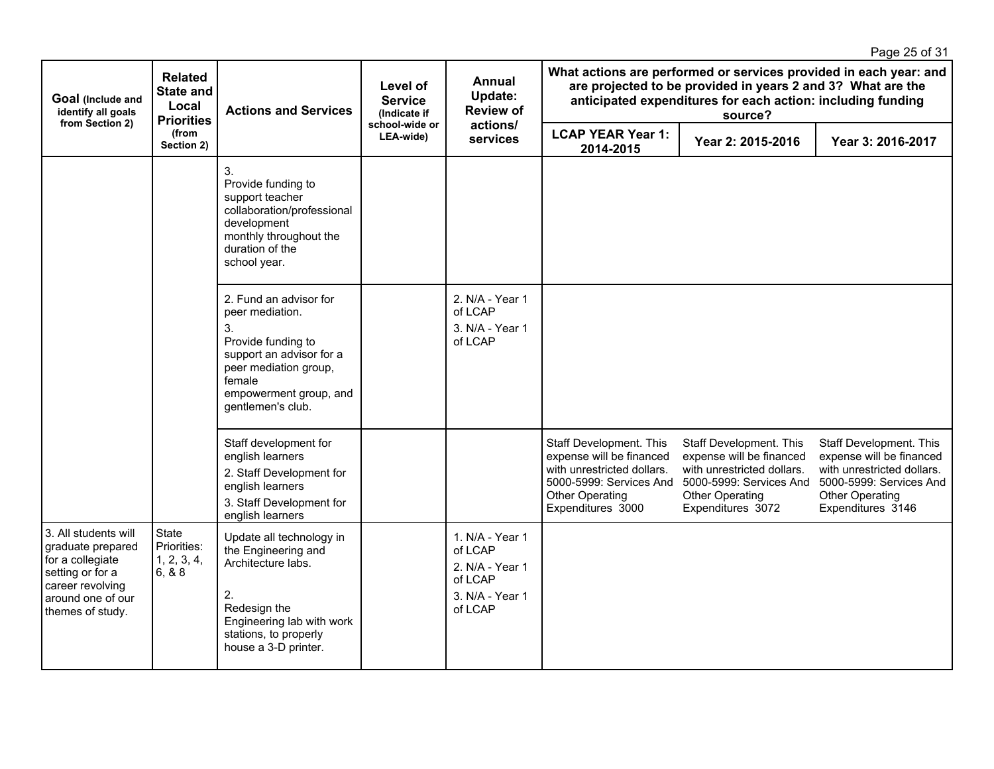|                                                                                                                                                |                                                                  |                                                                                                                                                                                     |                                            |                                                                                        |                                                                                                                                                                                                            |                                                                                                                                                      | Page 25 of 31                                                                                                                                        |
|------------------------------------------------------------------------------------------------------------------------------------------------|------------------------------------------------------------------|-------------------------------------------------------------------------------------------------------------------------------------------------------------------------------------|--------------------------------------------|----------------------------------------------------------------------------------------|------------------------------------------------------------------------------------------------------------------------------------------------------------------------------------------------------------|------------------------------------------------------------------------------------------------------------------------------------------------------|------------------------------------------------------------------------------------------------------------------------------------------------------|
| Goal (Include and<br>identify all goals<br>from Section 2)                                                                                     | <b>Related</b><br><b>State and</b><br>Local<br><b>Priorities</b> | <b>Actions and Services</b>                                                                                                                                                         | Level of<br><b>Service</b><br>(Indicate if | Annual<br>Update:<br><b>Review of</b>                                                  | What actions are performed or services provided in each year: and<br>are projected to be provided in years 2 and 3? What are the<br>anticipated expenditures for each action: including funding<br>source? |                                                                                                                                                      |                                                                                                                                                      |
|                                                                                                                                                | (from<br>Section 2)                                              |                                                                                                                                                                                     | school-wide or<br>LEA-wide)                | actions/<br>services                                                                   | <b>LCAP YEAR Year 1:</b><br>2014-2015                                                                                                                                                                      | Year 2: 2015-2016                                                                                                                                    | Year 3: 2016-2017                                                                                                                                    |
|                                                                                                                                                |                                                                  | 3.<br>Provide funding to<br>support teacher<br>collaboration/professional<br>development<br>monthly throughout the<br>duration of the<br>school year.                               |                                            |                                                                                        |                                                                                                                                                                                                            |                                                                                                                                                      |                                                                                                                                                      |
|                                                                                                                                                |                                                                  | 2. Fund an advisor for<br>peer mediation.<br>3.<br>Provide funding to<br>support an advisor for a<br>peer mediation group,<br>female<br>empowerment group, and<br>gentlemen's club. |                                            | 2. N/A - Year 1<br>of LCAP<br>3. N/A - Year 1<br>of LCAP                               |                                                                                                                                                                                                            |                                                                                                                                                      |                                                                                                                                                      |
|                                                                                                                                                |                                                                  | Staff development for<br>english learners<br>2. Staff Development for<br>english learners<br>3. Staff Development for<br>english learners                                           |                                            |                                                                                        | Staff Development. This<br>expense will be financed<br>with unrestricted dollars.<br>5000-5999: Services And<br>Other Operating<br>Expenditures 3000                                                       | Staff Development. This<br>expense will be financed<br>with unrestricted dollars.<br>5000-5999: Services And<br>Other Operating<br>Expenditures 3072 | Staff Development. This<br>expense will be financed<br>with unrestricted dollars.<br>5000-5999: Services And<br>Other Operating<br>Expenditures 3146 |
| 3. All students will<br>graduate prepared<br>for a collegiate<br>setting or for a<br>career revolving<br>around one of our<br>themes of study. | State<br>Priorities:<br>1, 2, 3, 4,<br>6, 8.8                    | Update all technology in<br>the Engineering and<br>Architecture labs.<br>2.<br>Redesign the<br>Engineering lab with work<br>stations, to properly<br>house a 3-D printer.           |                                            | 1. N/A - Year 1<br>of LCAP<br>2. N/A - Year 1<br>of LCAP<br>3. N/A - Year 1<br>of LCAP |                                                                                                                                                                                                            |                                                                                                                                                      |                                                                                                                                                      |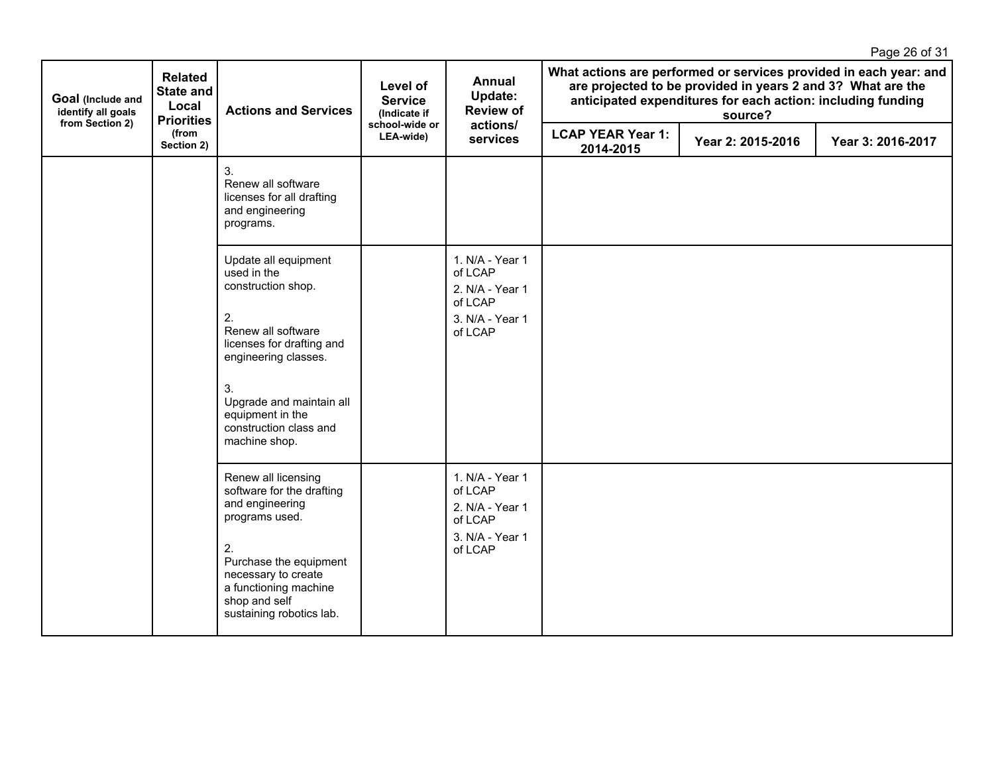|                                                            |                                                                  |                                                                                                                                              |                                            |                                                                                        |                                       |                   | Page 26 of 31     |                                                                                                                                                                                                            |  |  |
|------------------------------------------------------------|------------------------------------------------------------------|----------------------------------------------------------------------------------------------------------------------------------------------|--------------------------------------------|----------------------------------------------------------------------------------------|---------------------------------------|-------------------|-------------------|------------------------------------------------------------------------------------------------------------------------------------------------------------------------------------------------------------|--|--|
| Goal (Include and<br>identify all goals<br>from Section 2) | <b>Related</b><br><b>State and</b><br>Local<br><b>Priorities</b> | <b>Actions and Services</b>                                                                                                                  | Level of<br><b>Service</b><br>(Indicate if |                                                                                        | Annual<br>Update:<br><b>Review of</b> | actions/          |                   | What actions are performed or services provided in each year: and<br>are projected to be provided in years 2 and 3? What are the<br>anticipated expenditures for each action: including funding<br>source? |  |  |
|                                                            | (from<br>Section 2)                                              |                                                                                                                                              | school-wide or<br>LEA-wide)                | services                                                                               | <b>LCAP YEAR Year 1:</b><br>2014-2015 | Year 2: 2015-2016 | Year 3: 2016-2017 |                                                                                                                                                                                                            |  |  |
|                                                            |                                                                  | 3.<br>Renew all software<br>licenses for all drafting<br>and engineering<br>programs.                                                        |                                            |                                                                                        |                                       |                   |                   |                                                                                                                                                                                                            |  |  |
|                                                            |                                                                  | Update all equipment<br>used in the<br>construction shop.                                                                                    |                                            | 1. N/A - Year 1<br>of LCAP<br>2. N/A - Year 1<br>of LCAP                               |                                       |                   |                   |                                                                                                                                                                                                            |  |  |
|                                                            |                                                                  | 2.<br>Renew all software<br>licenses for drafting and<br>engineering classes.                                                                |                                            | 3. N/A - Year 1<br>of LCAP                                                             |                                       |                   |                   |                                                                                                                                                                                                            |  |  |
|                                                            |                                                                  | 3.<br>Upgrade and maintain all<br>equipment in the<br>construction class and<br>machine shop.                                                |                                            |                                                                                        |                                       |                   |                   |                                                                                                                                                                                                            |  |  |
|                                                            |                                                                  | Renew all licensing<br>software for the drafting<br>and engineering<br>programs used.<br>2.<br>Purchase the equipment<br>necessary to create |                                            | 1. N/A - Year 1<br>of LCAP<br>2. N/A - Year 1<br>of LCAP<br>3. N/A - Year 1<br>of LCAP |                                       |                   |                   |                                                                                                                                                                                                            |  |  |
|                                                            |                                                                  | a functioning machine<br>shop and self<br>sustaining robotics lab.                                                                           |                                            |                                                                                        |                                       |                   |                   |                                                                                                                                                                                                            |  |  |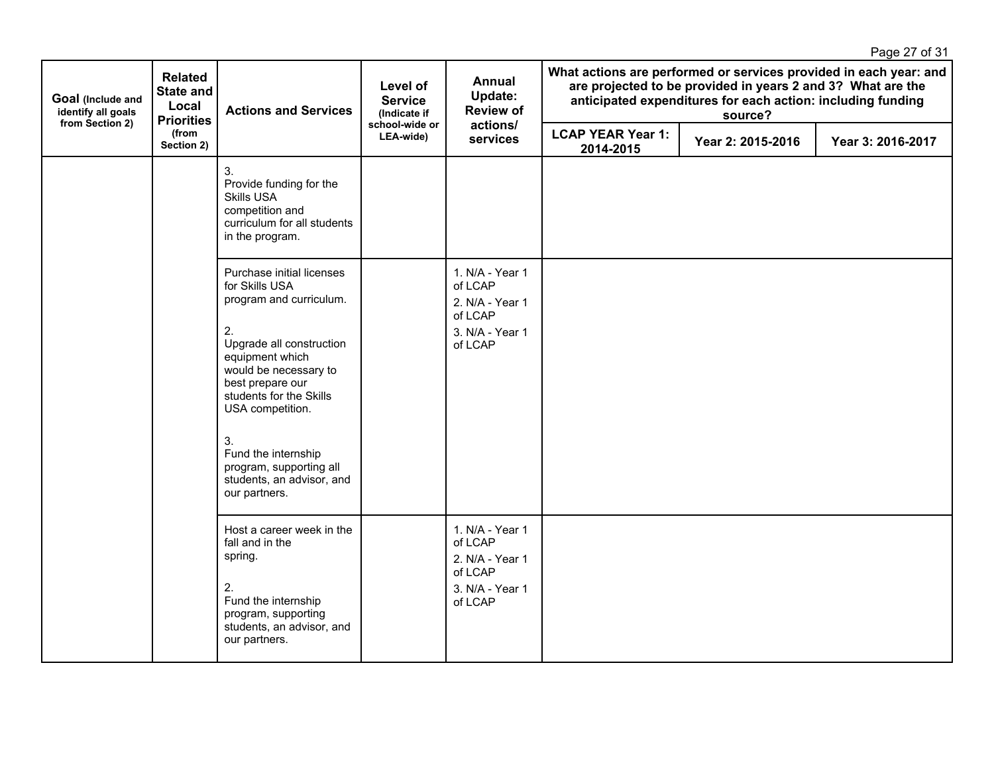|                                                            |                                                                  |                                                                                                                                                           |                                            |                                                                                        |                                                                                                                                                                                                            |                   | Page 27 of 31     |
|------------------------------------------------------------|------------------------------------------------------------------|-----------------------------------------------------------------------------------------------------------------------------------------------------------|--------------------------------------------|----------------------------------------------------------------------------------------|------------------------------------------------------------------------------------------------------------------------------------------------------------------------------------------------------------|-------------------|-------------------|
| Goal (Include and<br>identify all goals<br>from Section 2) | <b>Related</b><br><b>State and</b><br>Local<br><b>Priorities</b> | <b>Actions and Services</b>                                                                                                                               | Level of<br><b>Service</b><br>(Indicate if | <b>Annual</b><br>Update:<br><b>Review of</b>                                           | What actions are performed or services provided in each year: and<br>are projected to be provided in years 2 and 3? What are the<br>anticipated expenditures for each action: including funding<br>source? |                   |                   |
|                                                            | (from<br>Section 2)                                              |                                                                                                                                                           | school-wide or<br>LEA-wide)                | actions/<br>services                                                                   | <b>LCAP YEAR Year 1:</b><br>2014-2015                                                                                                                                                                      | Year 2: 2015-2016 | Year 3: 2016-2017 |
|                                                            |                                                                  | 3.<br>Provide funding for the<br><b>Skills USA</b><br>competition and<br>curriculum for all students<br>in the program.                                   |                                            |                                                                                        |                                                                                                                                                                                                            |                   |                   |
|                                                            |                                                                  | Purchase initial licenses<br>for Skills USA<br>program and curriculum.                                                                                    |                                            | 1. N/A - Year 1<br>of LCAP<br>2. N/A - Year 1<br>of LCAP                               |                                                                                                                                                                                                            |                   |                   |
|                                                            |                                                                  | 2.<br>Upgrade all construction<br>equipment which<br>would be necessary to<br>best prepare our<br>students for the Skills<br>USA competition.             |                                            | 3. N/A - Year 1<br>of LCAP                                                             |                                                                                                                                                                                                            |                   |                   |
|                                                            |                                                                  | 3.<br>Fund the internship<br>program, supporting all<br>students, an advisor, and<br>our partners.                                                        |                                            |                                                                                        |                                                                                                                                                                                                            |                   |                   |
|                                                            |                                                                  | Host a career week in the<br>fall and in the<br>spring.<br>2.<br>Fund the internship<br>program, supporting<br>students, an advisor, and<br>our partners. |                                            | 1. N/A - Year 1<br>of LCAP<br>2. N/A - Year 1<br>of LCAP<br>3. N/A - Year 1<br>of LCAP |                                                                                                                                                                                                            |                   |                   |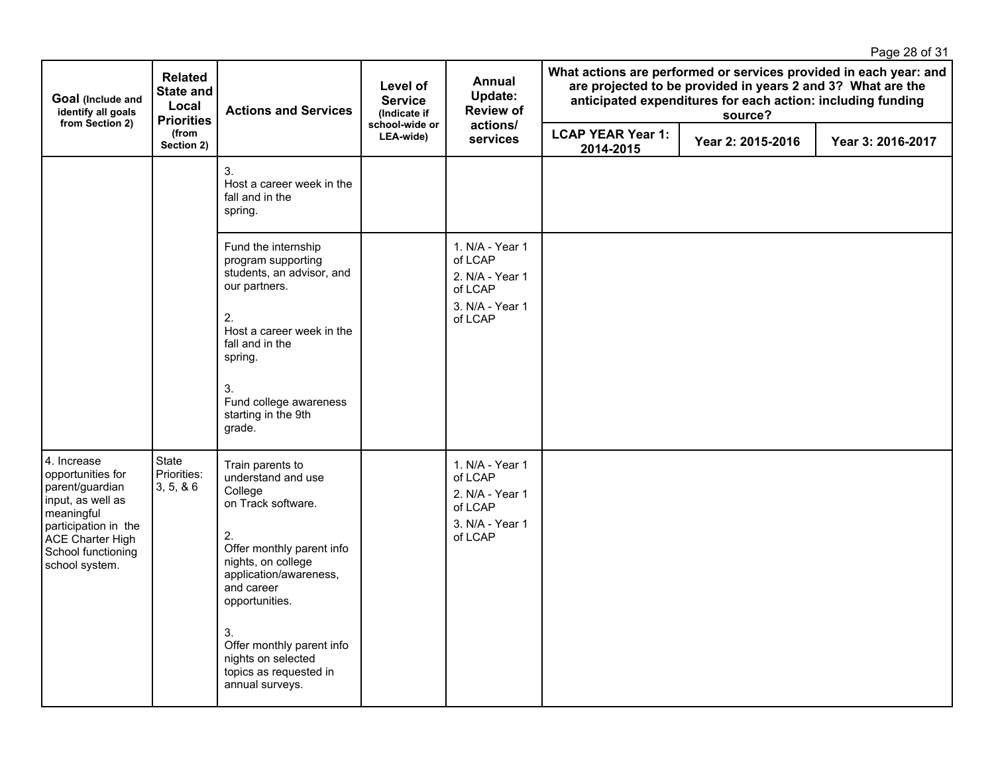|                                                                                                                                                                            |                                                                  |                                                                                                                                                                                                                                                                                                  |                                            |                                                                                        |                                                                                                                                                                                                            |                   | Page 28 of 31     |
|----------------------------------------------------------------------------------------------------------------------------------------------------------------------------|------------------------------------------------------------------|--------------------------------------------------------------------------------------------------------------------------------------------------------------------------------------------------------------------------------------------------------------------------------------------------|--------------------------------------------|----------------------------------------------------------------------------------------|------------------------------------------------------------------------------------------------------------------------------------------------------------------------------------------------------------|-------------------|-------------------|
| Goal (Include and<br>identify all goals<br>from Section 2)                                                                                                                 | <b>Related</b><br><b>State and</b><br>Local<br><b>Priorities</b> | <b>Actions and Services</b>                                                                                                                                                                                                                                                                      | Level of<br><b>Service</b><br>(Indicate if | <b>Annual</b><br>Update:<br><b>Review of</b>                                           | What actions are performed or services provided in each year: and<br>are projected to be provided in years 2 and 3? What are the<br>anticipated expenditures for each action: including funding<br>source? |                   |                   |
|                                                                                                                                                                            | (from<br>Section 2)                                              |                                                                                                                                                                                                                                                                                                  | school-wide or<br>LEA-wide)                | actions/<br>services                                                                   | <b>LCAP YEAR Year 1:</b><br>2014-2015                                                                                                                                                                      | Year 2: 2015-2016 | Year 3: 2016-2017 |
|                                                                                                                                                                            |                                                                  | 3.<br>Host a career week in the<br>fall and in the<br>spring.                                                                                                                                                                                                                                    |                                            |                                                                                        |                                                                                                                                                                                                            |                   |                   |
|                                                                                                                                                                            |                                                                  | Fund the internship<br>program supporting<br>students, an advisor, and<br>our partners.<br>2.<br>Host a career week in the<br>fall and in the<br>spring.<br>3.<br>Fund college awareness<br>starting in the 9th<br>grade.                                                                        |                                            | 1. N/A - Year 1<br>of LCAP<br>2. N/A - Year 1<br>of LCAP<br>3. N/A - Year 1<br>of LCAP |                                                                                                                                                                                                            |                   |                   |
| 4. Increase<br>opportunities for<br>parent/guardian<br>input, as well as<br>meaningful<br>participation in the<br>ACE Charter High<br>School functioning<br>school system. | State<br>Priorities:<br>3, 5, 86                                 | Train parents to<br>understand and use<br>College<br>on Track software.<br>2.<br>Offer monthly parent info<br>nights, on college<br>application/awareness,<br>and career<br>opportunities.<br>3.<br>Offer monthly parent info<br>nights on selected<br>topics as requested in<br>annual surveys. |                                            | 1. N/A - Year 1<br>of LCAP<br>2. N/A - Year 1<br>of LCAP<br>3. N/A - Year 1<br>of LCAP |                                                                                                                                                                                                            |                   |                   |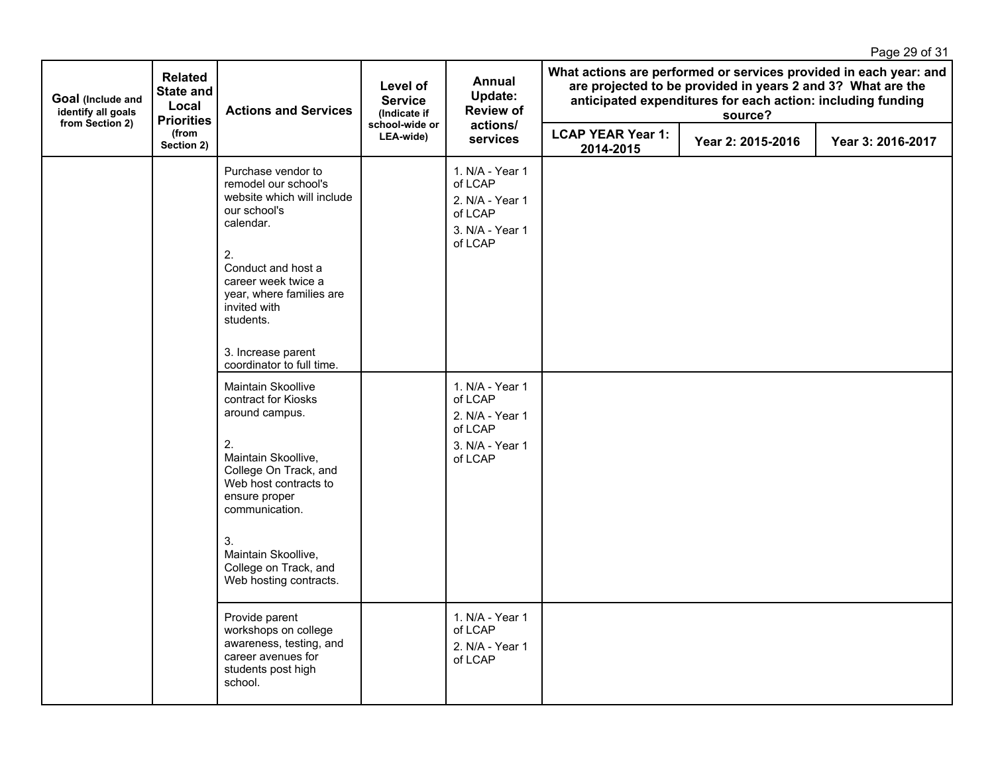|                                                            |                                                                  |                                                                                                                                                                                                                                                                                                                                                                                                                                                                                                                                       |                                            |                                                                                                                                                                                  |                                       |                                                                                                                                                                                                            | Page 29 of 31     |
|------------------------------------------------------------|------------------------------------------------------------------|---------------------------------------------------------------------------------------------------------------------------------------------------------------------------------------------------------------------------------------------------------------------------------------------------------------------------------------------------------------------------------------------------------------------------------------------------------------------------------------------------------------------------------------|--------------------------------------------|----------------------------------------------------------------------------------------------------------------------------------------------------------------------------------|---------------------------------------|------------------------------------------------------------------------------------------------------------------------------------------------------------------------------------------------------------|-------------------|
| Goal (Include and<br>identify all goals<br>from Section 2) | <b>Related</b><br><b>State and</b><br>Local<br><b>Priorities</b> | <b>Actions and Services</b>                                                                                                                                                                                                                                                                                                                                                                                                                                                                                                           | Level of<br><b>Service</b><br>(Indicate if | <b>Annual</b><br>Update:<br><b>Review of</b><br>actions/                                                                                                                         |                                       | What actions are performed or services provided in each year: and<br>are projected to be provided in years 2 and 3? What are the<br>anticipated expenditures for each action: including funding<br>source? |                   |
|                                                            | (from<br>Section 2)                                              |                                                                                                                                                                                                                                                                                                                                                                                                                                                                                                                                       | school-wide or<br>LEA-wide)                | services                                                                                                                                                                         | <b>LCAP YEAR Year 1:</b><br>2014-2015 | Year 2: 2015-2016                                                                                                                                                                                          | Year 3: 2016-2017 |
|                                                            |                                                                  | Purchase vendor to<br>remodel our school's<br>website which will include<br>our school's<br>calendar.<br>2.<br>Conduct and host a<br>career week twice a<br>year, where families are<br>invited with<br>students.<br>3. Increase parent<br>coordinator to full time.<br>Maintain Skoollive<br>contract for Kiosks<br>around campus.<br>2.<br>Maintain Skoollive,<br>College On Track, and<br>Web host contracts to<br>ensure proper<br>communication.<br>3.<br>Maintain Skoollive,<br>College on Track, and<br>Web hosting contracts. |                                            | 1. N/A - Year 1<br>of LCAP<br>2. N/A - Year 1<br>of LCAP<br>3. N/A - Year 1<br>of LCAP<br>1. N/A - Year 1<br>of LCAP<br>2. N/A - Year 1<br>of LCAP<br>3. N/A - Year 1<br>of LCAP |                                       |                                                                                                                                                                                                            |                   |
|                                                            |                                                                  | Provide parent<br>workshops on college<br>awareness, testing, and<br>career avenues for<br>students post high<br>school.                                                                                                                                                                                                                                                                                                                                                                                                              |                                            | 1. N/A - Year 1<br>of LCAP<br>2. N/A - Year 1<br>of LCAP                                                                                                                         |                                       |                                                                                                                                                                                                            |                   |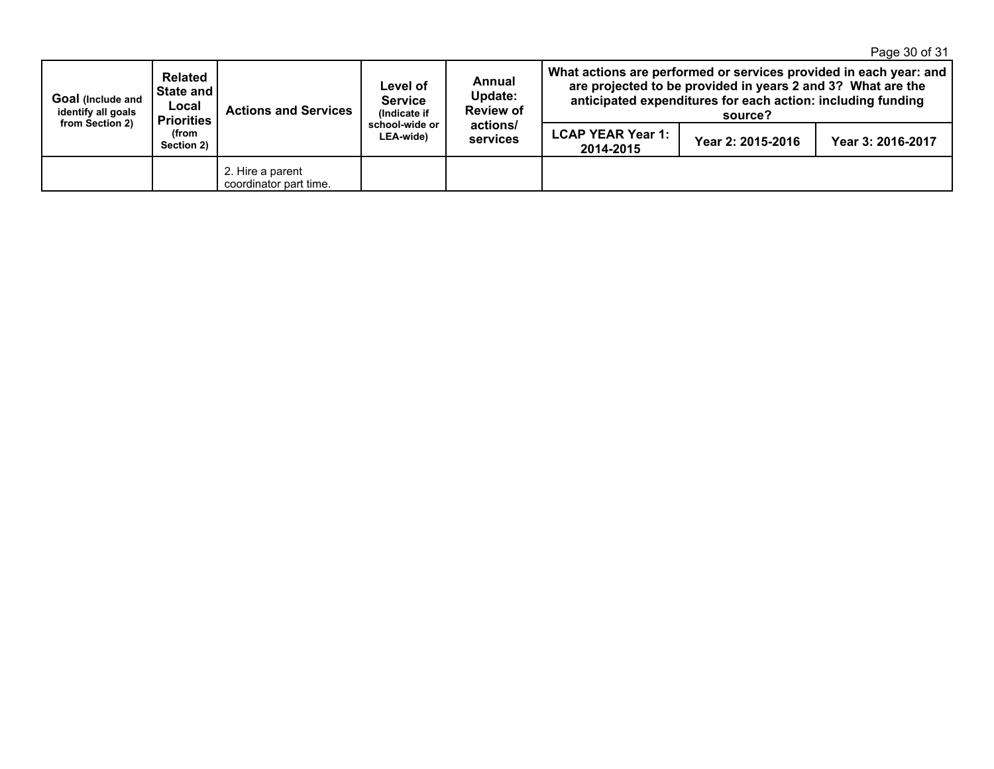Page 30 of 31

| Goal (Include and<br>identify all goals<br>from Section 2) | Related<br>  State and  <br>Local<br><b>Priorities</b><br>(from<br>Section 2) | <b>Actions and Services</b>                | Level of<br><b>Service</b><br>(Indicate if<br>school-wide or<br>LEA-wide) | Annual<br>Update:<br><b>Review of</b><br>actions/<br>services | What actions are performed or services provided in each year: and<br>are projected to be provided in years 2 and 3? What are the<br>anticipated expenditures for each action: including funding<br>source? |                   |                   |
|------------------------------------------------------------|-------------------------------------------------------------------------------|--------------------------------------------|---------------------------------------------------------------------------|---------------------------------------------------------------|------------------------------------------------------------------------------------------------------------------------------------------------------------------------------------------------------------|-------------------|-------------------|
|                                                            |                                                                               |                                            |                                                                           |                                                               | <b>LCAP YEAR Year 1:</b><br>2014-2015                                                                                                                                                                      | Year 2: 2015-2016 | Year 3: 2016-2017 |
|                                                            |                                                                               | 2. Hire a parent<br>coordinator part time. |                                                                           |                                                               |                                                                                                                                                                                                            |                   |                   |